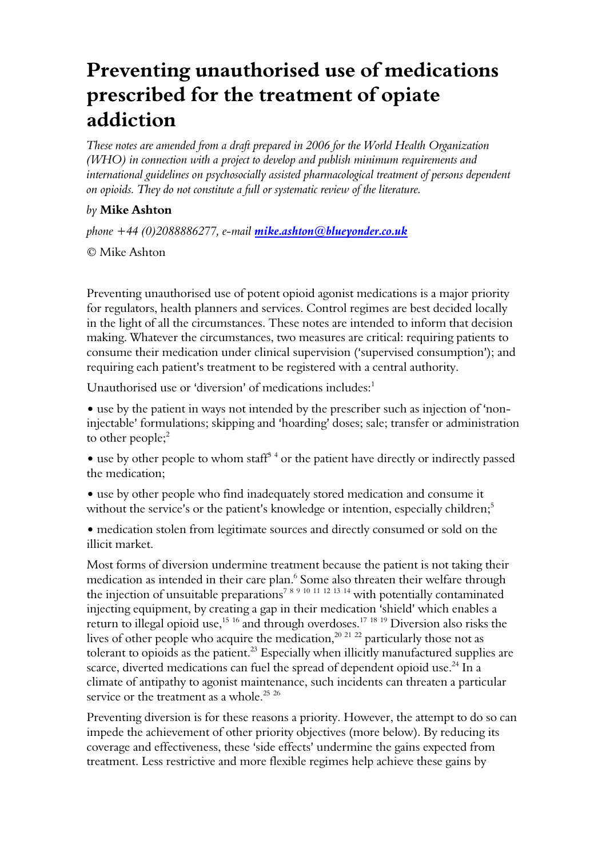## Preventing unauthorised use of medications prescribed for the treatment of opiate addiction

These notes are amended from a draft prepared in 2006 for the World Health Organization (WHO) in connection with a project to develop and publish minimum requirements and international guidelines on psychosocially assisted pharmacological treatment of persons dependent on opioids. They do not constitute a full or systematic review of the literature.

## by Mike Ashton

phone +44 (0)2088886277, e-mail *mike.ashton@blueyonder.co.uk* 

© Mike Ashton

Preventing unauthorised use of potent opioid agonist medications is a major priority for regulators, health planners and services. Control regimes are best decided locally in the light of all the circumstances. These notes are intended to inform that decision making. Whatever the circumstances, two measures are critical: requiring patients to consume their medication under clinical supervision ('supervised consumption'); and requiring each patient's treatment to be registered with a central authority.

Unauthorised use or 'diversion' of medications includes: $1$ 

• use by the patient in ways not intended by the prescriber such as injection of 'noninjectable' formulations; skipping and 'hoarding' doses; sale; transfer or administration to other people; $2$ 

 $\bullet$  use by other people to whom staff<sup>34</sup> or the patient have directly or indirectly passed the medication;

- use by other people who find inadequately stored medication and consume it without the service's or the patient's knowledge or intention, especially children; $5$
- medication stolen from legitimate sources and directly consumed or sold on the illicit market.

Most forms of diversion undermine treatment because the patient is not taking their medication as intended in their care plan.<sup>6</sup> Some also threaten their welfare through the injection of unsuitable preparations<sup>7 8 9 10 11 12 13 14</sup> with potentially contaminated injecting equipment, by creating a gap in their medication 'shield' which enables a return to illegal opioid use,<sup>15 16</sup> and through overdoses.<sup>17 18 19</sup> Diversion also risks the lives of other people who acquire the medication,<sup>20 21 22</sup> particularly those not as tolerant to opioids as the patient.<sup>23</sup> Especially when illicitly manufactured supplies are scarce, diverted medications can fuel the spread of dependent opioid use.<sup>24</sup> In a climate of antipathy to agonist maintenance, such incidents can threaten a particular service or the treatment as a whole.<sup>25 26</sup>

Preventing diversion is for these reasons a priority. However, the attempt to do so can impede the achievement of other priority objectives (more below). By reducing its coverage and effectiveness, these 'side effects' undermine the gains expected from treatment. Less restrictive and more flexible regimes help achieve these gains by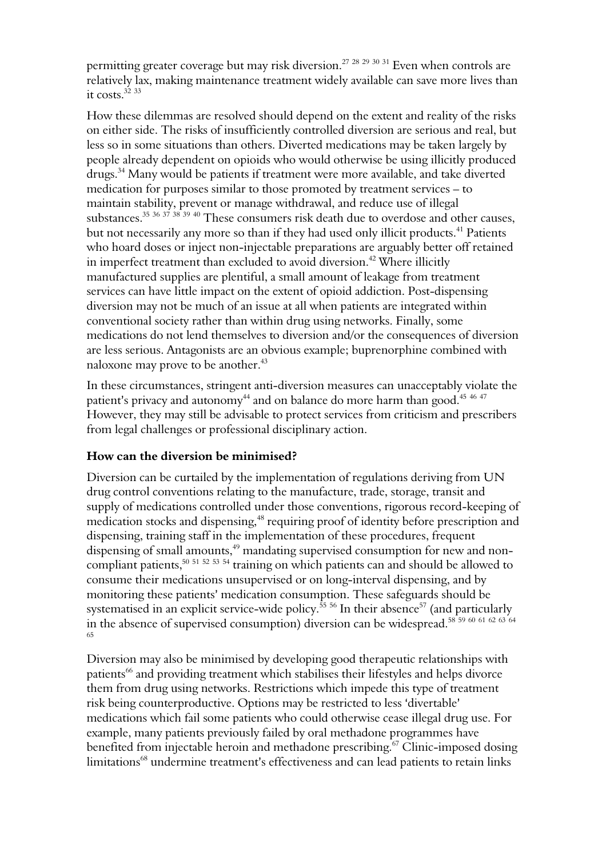permitting greater coverage but may risk diversion.<sup>27</sup> <sup>28</sup> <sup>29</sup> <sup>30</sup> <sup>31</sup> Even when controls are relatively lax, making maintenance treatment widely available can save more lives than it costs  $3233$ 

How these dilemmas are resolved should depend on the extent and reality of the risks on either side. The risks of insufficiently controlled diversion are serious and real, but less so in some situations than others. Diverted medications may be taken largely by people already dependent on opioids who would otherwise be using illicitly produced drugs.<sup>34</sup> Many would be patients if treatment were more available, and take diverted medication for purposes similar to those promoted by treatment services – to maintain stability, prevent or manage withdrawal, and reduce use of illegal substances.<sup>35</sup> 36 37 38 39 40 These consumers risk death due to overdose and other causes, but not necessarily any more so than if they had used only illicit products.<sup>41</sup> Patients who hoard doses or inject non-injectable preparations are arguably better off retained in imperfect treatment than excluded to avoid diversion.<sup>42</sup> Where illicitly manufactured supplies are plentiful, a small amount of leakage from treatment services can have little impact on the extent of opioid addiction. Post-dispensing diversion may not be much of an issue at all when patients are integrated within conventional society rather than within drug using networks. Finally, some medications do not lend themselves to diversion and/or the consequences of diversion are less serious. Antagonists are an obvious example; buprenorphine combined with naloxone may prove to be another.<sup>43</sup>

In these circumstances, stringent anti-diversion measures can unacceptably violate the patient's privacy and autonomy<sup>44</sup> and on balance do more harm than good.<sup>45 46 47</sup> However, they may still be advisable to protect services from criticism and prescribers from legal challenges or professional disciplinary action.

## How can the diversion be minimised?

Diversion can be curtailed by the implementation of regulations deriving from UN drug control conventions relating to the manufacture, trade, storage, transit and supply of medications controlled under those conventions, rigorous record-keeping of medication stocks and dispensing,<sup>48</sup> requiring proof of identity before prescription and dispensing, training staff in the implementation of these procedures, frequent dispensing of small amounts,<sup>49</sup> mandating supervised consumption for new and noncompliant patients,<sup>50 51 52 53 54</sup> training on which patients can and should be allowed to consume their medications unsupervised or on long-interval dispensing, and by monitoring these patients' medication consumption. These safeguards should be systematised in an explicit service-wide policy.<sup>55</sup> <sup>56</sup> In their absence<sup>57</sup> (and particularly in the absence of supervised consumption) diversion can be widespread.<sup>58</sup> <sup>59</sup> <sup>60</sup> <sup>61</sup> <sup>62</sup> <sup>63</sup> <sup>64</sup> 65

Diversion may also be minimised by developing good therapeutic relationships with patients<sup>66</sup> and providing treatment which stabilises their lifestyles and helps divorce them from drug using networks. Restrictions which impede this type of treatment risk being counterproductive. Options may be restricted to less 'divertable' medications which fail some patients who could otherwise cease illegal drug use. For example, many patients previously failed by oral methadone programmes have benefited from injectable heroin and methadone prescribing.<sup>67</sup> Clinic-imposed dosing limitations<sup>68</sup> undermine treatment's effectiveness and can lead patients to retain links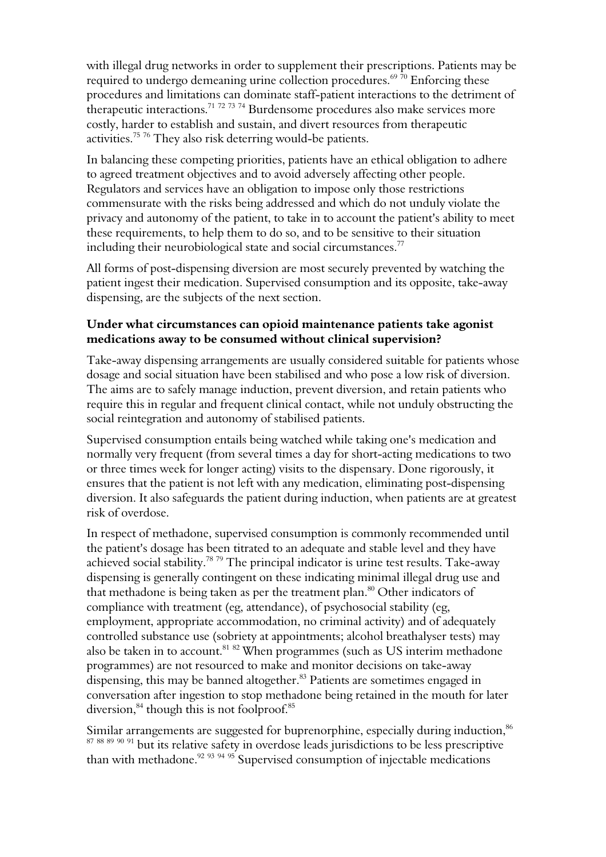with illegal drug networks in order to supplement their prescriptions. Patients may be required to undergo demeaning urine collection procedures.<sup>69 70</sup> Enforcing these procedures and limitations can dominate staff-patient interactions to the detriment of therapeutic interactions.<sup>71 72 73 74</sup> Burdensome procedures also make services more costly, harder to establish and sustain, and divert resources from therapeutic activities.<sup>75 76</sup> They also risk deterring would-be patients.

In balancing these competing priorities, patients have an ethical obligation to adhere to agreed treatment objectives and to avoid adversely affecting other people. Regulators and services have an obligation to impose only those restrictions commensurate with the risks being addressed and which do not unduly violate the privacy and autonomy of the patient, to take in to account the patient's ability to meet these requirements, to help them to do so, and to be sensitive to their situation including their neurobiological state and social circumstances.<sup>77</sup>

All forms of post-dispensing diversion are most securely prevented by watching the patient ingest their medication. Supervised consumption and its opposite, take-away dispensing, are the subjects of the next section.

## Under what circumstances can opioid maintenance patients take agonist medications away to be consumed without clinical supervision?

Take-away dispensing arrangements are usually considered suitable for patients whose dosage and social situation have been stabilised and who pose a low risk of diversion. The aims are to safely manage induction, prevent diversion, and retain patients who require this in regular and frequent clinical contact, while not unduly obstructing the social reintegration and autonomy of stabilised patients.

Supervised consumption entails being watched while taking one's medication and normally very frequent (from several times a day for short-acting medications to two or three times week for longer acting) visits to the dispensary. Done rigorously, it ensures that the patient is not left with any medication, eliminating post-dispensing diversion. It also safeguards the patient during induction, when patients are at greatest risk of overdose.

In respect of methadone, supervised consumption is commonly recommended until the patient's dosage has been titrated to an adequate and stable level and they have achieved social stability.<sup>78 79</sup> The principal indicator is urine test results. Take-away dispensing is generally contingent on these indicating minimal illegal drug use and that methadone is being taken as per the treatment plan.<sup>80</sup> Other indicators of compliance with treatment (eg, attendance), of psychosocial stability (eg, employment, appropriate accommodation, no criminal activity) and of adequately controlled substance use (sobriety at appointments; alcohol breathalyser tests) may also be taken in to account.<sup>81 82</sup> When programmes (such as US interim methadone programmes) are not resourced to make and monitor decisions on take-away dispensing, this may be banned altogether.<sup>83</sup> Patients are sometimes engaged in conversation after ingestion to stop methadone being retained in the mouth for later diversion, $84$  though this is not foolproof. $85$ 

Similar arrangements are suggested for buprenorphine, especially during induction,<sup>86</sup>  $\frac{6}{87}$   $\frac{88}{89}$   $\frac{90}{91}$  but its relative safety in overdose leads jurisdictions to be less prescriptive than with methadone.<sup>92 93 94 95</sup> Supervised consumption of injectable medications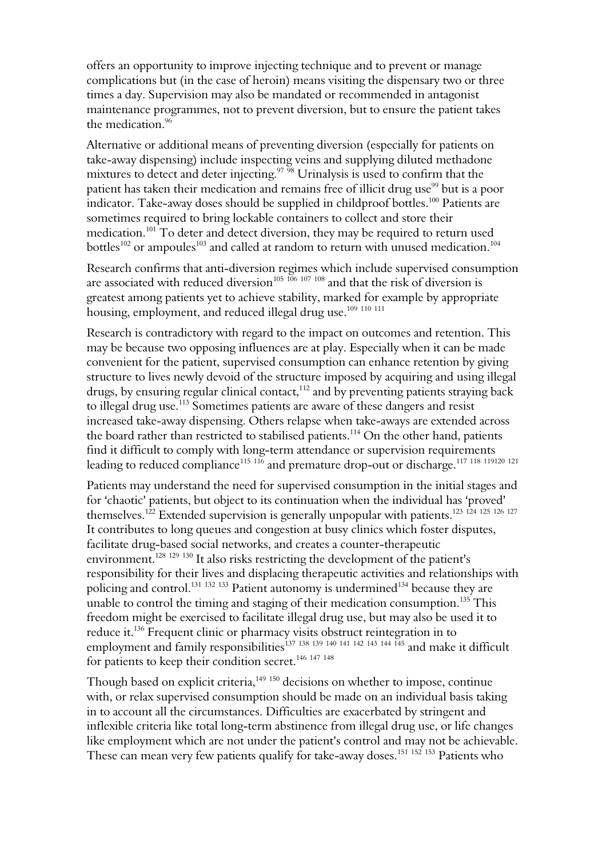offers an opportunity to improve injecting technique and to prevent or manage complications but (in the case of heroin) means visiting the dispensary two or three times a day. Supervision may also be mandated or recommended in antagonist maintenance programmes, not to prevent diversion, but to ensure the patient takes the medication.<sup>96</sup>

Alternative or additional means of preventing diversion (especially for patients on take-away dispensing) include inspecting veins and supplying diluted methadone mixtures to detect and deter injecting.<sup>97 98</sup> Urinalysis is used to confirm that the patient has taken their medication and remains free of illicit drug use<sup>99</sup> but is a poor indicator. Take-away doses should be supplied in childproof bottles.<sup>100</sup> Patients are sometimes required to bring lockable containers to collect and store their medication.<sup>101</sup> To deter and detect diversion, they may be required to return used bottles<sup>102</sup> or ampoules<sup>103</sup> and called at random to return with unused medication.<sup>104</sup>

Research confirms that anti-diversion regimes which include supervised consumption are associated with reduced diversion<sup>105 106</sup> 107 108 and that the risk of diversion is greatest among patients yet to achieve stability, marked for example by appropriate housing, employment, and reduced illegal drug use.<sup>109 110</sup> 111

Research is contradictory with regard to the impact on outcomes and retention. This may be because two opposing influences are at play. Especially when it can be made convenient for the patient, supervised consumption can enhance retention by giving structure to lives newly devoid of the structure imposed by acquiring and using illegal drugs, by ensuring regular clinical contact,<sup>112</sup> and by preventing patients straying back to illegal drug use.<sup>113</sup> Sometimes patients are aware of these dangers and resist increased take-away dispensing. Others relapse when take-aways are extended across the board rather than restricted to stabilised patients.<sup>114</sup> On the other hand, patients find it difficult to comply with long-term attendance or supervision requirements leading to reduced compliance $^{115\;116}$  and premature drop-out or discharge. $^{117\;118\;119120\;121}$ 

Patients may understand the need for supervised consumption in the initial stages and for 'chaotic' patients, but object to its continuation when the individual has 'proved' themselves.<sup>122</sup> Extended supervision is generally unpopular with patients.<sup>123 124 125 126 127</sup> It contributes to long queues and congestion at busy clinics which foster disputes, facilitate drug-based social networks, and creates a counter-therapeutic environment.<sup>128 129 130</sup> It also risks restricting the development of the patient's responsibility for their lives and displacing therapeutic activities and relationships with policing and control.<sup>131 132 133</sup> Patient autonomy is undermined<sup>134</sup> because they are unable to control the timing and staging of their medication consumption.<sup>135</sup> This freedom might be exercised to facilitate illegal drug use, but may also be used it to reduce it.<sup>136</sup> Frequent clinic or pharmacy visits obstruct reintegration in to employment and family responsibilities<sup>137</sup> <sup>138</sup> <sup>139</sup> <sup>140</sup> <sup>141</sup> <sup>142</sup> <sup>143</sup> <sup>144</sup> <sup>145</sup> and make it difficult for patients to keep their condition secret.<sup>146 147 148</sup>

Though based on explicit criteria,<sup>149</sup> <sup>150</sup> decisions on whether to impose, continue with, or relax supervised consumption should be made on an individual basis taking in to account all the circumstances. Difficulties are exacerbated by stringent and inflexible criteria like total long-term abstinence from illegal drug use, or life changes like employment which are not under the patient's control and may not be achievable. These can mean very few patients qualify for take-away doses.<sup>151 152</sup> 153 Patients who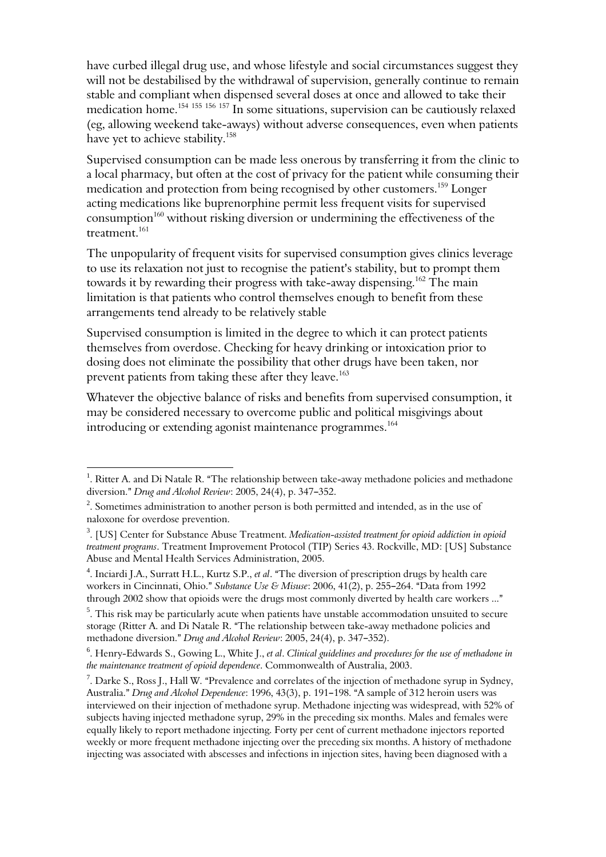have curbed illegal drug use, and whose lifestyle and social circumstances suggest they will not be destabilised by the withdrawal of supervision, generally continue to remain stable and compliant when dispensed several doses at once and allowed to take their medication home.<sup>154 155 156</sup> 157 In some situations, supervision can be cautiously relaxed (eg, allowing weekend take-aways) without adverse consequences, even when patients have yet to achieve stability.<sup>158</sup>

Supervised consumption can be made less onerous by transferring it from the clinic to a local pharmacy, but often at the cost of privacy for the patient while consuming their medication and protection from being recognised by other customers.<sup>159</sup> Longer acting medications like buprenorphine permit less frequent visits for supervised consumption<sup>160</sup> without risking diversion or undermining the effectiveness of the treatment.<sup>161</sup>

The unpopularity of frequent visits for supervised consumption gives clinics leverage to use its relaxation not just to recognise the patient's stability, but to prompt them towards it by rewarding their progress with take-away dispensing.<sup>162</sup> The main limitation is that patients who control themselves enough to benefit from these arrangements tend already to be relatively stable

Supervised consumption is limited in the degree to which it can protect patients themselves from overdose. Checking for heavy drinking or intoxication prior to dosing does not eliminate the possibility that other drugs have been taken, nor prevent patients from taking these after they leave. 163

Whatever the objective balance of risks and benefits from supervised consumption, it may be considered necessary to overcome public and political misgivings about introducing or extending agonist maintenance programmes.<sup>164</sup>

i

<sup>&</sup>lt;sup>1</sup>. Ritter A. and Di Natale R. "The relationship between take-away methadone policies and methadone diversion." Drug and Alcohol Review: 2005, 24(4), p. 347-352.

 $2$ . Sometimes administration to another person is both permitted and intended, as in the use of naloxone for overdose prevention.

 $^3$ . [US] Center for Substance Abuse Treatment. Medication-assisted treatment for opioid addiction in opioid treatment programs. Treatment Improvement Protocol (TIP) Series 43. Rockville, MD: [US] Substance Abuse and Mental Health Services Administration, 2005.

<sup>&</sup>lt;sup>4</sup>. Inciardi J.A., Surratt H.L., Kurtz S.P., et al. "The diversion of prescription drugs by health care workers in Cincinnati, Ohio." Substance Use & Misuse: 2006, 41(2), p. 255-264. "Data from 1992 through 2002 show that opioids were the drugs most commonly diverted by health care workers ..."

 $5$ . This risk may be particularly acute when patients have unstable accommodation unsuited to secure storage (Ritter A. and Di Natale R. "The relationship between take-away methadone policies and methadone diversion." Drug and Alcohol Review: 2005, 24(4), p. 347-352).

 $^6$ . Henry-Edwards S., Gowing L., White J., et al. Clinical guidelines and procedures for the use of methadone in the maintenance treatment of opioid dependence. Commonwealth of Australia, 2003.

<sup>&</sup>lt;sup>7</sup>. Darke S., Ross J., Hall W. "Prevalence and correlates of the injection of methadone syrup in Sydney, Australia." Drug and Alcohol Dependence: 1996, 43(3), p. 191-198. "A sample of 312 heroin users was interviewed on their injection of methadone syrup. Methadone injecting was widespread, with 52% of subjects having injected methadone syrup, 29% in the preceding six months. Males and females were equally likely to report methadone injecting. Forty per cent of current methadone injectors reported weekly or more frequent methadone injecting over the preceding six months. A history of methadone injecting was associated with abscesses and infections in injection sites, having been diagnosed with a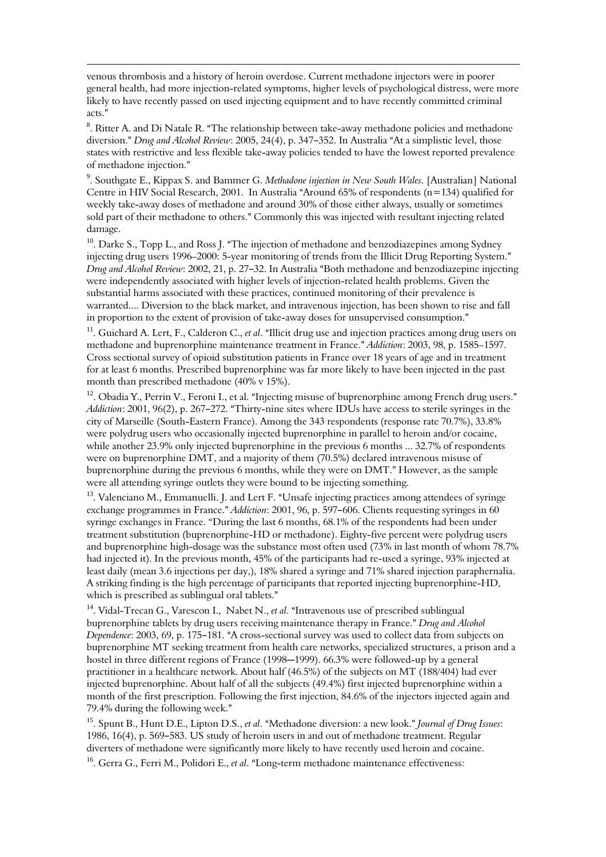venous thrombosis and a history of heroin overdose. Current methadone injectors were in poorer general health, had more injection-related symptoms, higher levels of psychological distress, were more likely to have recently passed on used injecting equipment and to have recently committed criminal acts."

 $\overline{\phantom{0}}$ 

 $^8$ . Ritter A. and Di Natale R. "The relationship between take-away methadone policies and methadone diversion." Drug and Alcohol Review: 2005, 24(4), p. 347–352. In Australia "At a simplistic level, those states with restrictive and less flexible take-away policies tended to have the lowest reported prevalence of methadone injection."

<sup>9</sup>. Southgate E., Kippax S. and Bammer G. Methadone injection in New South Wales. [Australian] National Centre in HIV Social Research, 2001. In Australia "Around 65% of respondents ( $n=134$ ) qualified for weekly take-away doses of methadone and around 30% of those either always, usually or sometimes sold part of their methadone to others." Commonly this was injected with resultant injecting related damage.

<sup>10</sup>. Darke S., Topp L., and Ross J. "The injection of methadone and benzodiazepines among Sydney injecting drug users 1996–2000: 5-year monitoring of trends from the Illicit Drug Reporting System." Drug and Alcohol Review: 2002, 21, p. 27–32. In Australia "Both methadone and benzodiazepine injecting were independently associated with higher levels of injection-related health problems. Given the substantial harms associated with these practices, continued monitoring of their prevalence is warranted.... Diversion to the black market, and intravenous injection, has been shown to rise and fall in proportion to the extent of provision of take-away doses for unsupervised consumption."

<sup>11</sup>. Guichard A. Lert, F., Calderon C., et al. "Illicit drug use and injection practices among drug users on methadone and buprenorphine maintenance treatment in France." Addiction: 2003, 98, p. 1585-1597. Cross sectional survey of opioid substitution patients in France over 18 years of age and in treatment for at least 6 months. Prescribed buprenorphine was far more likely to have been injected in the past month than prescribed methadone (40% v 15%).

<sup>12</sup>. Obadia Y., Perrin V., Feroni I., et al. "Injecting misuse of buprenorphine among French drug users." Addiction: 2001, 96(2), p. 267–272. "Thirty-nine sites where IDUs have access to sterile syringes in the city of Marseille (South-Eastern France). Among the 343 respondents (response rate 70.7%), 33.8% were polydrug users who occasionally injected buprenorphine in parallel to heroin and/or cocaine, while another 23.9% only injected buprenorphine in the previous 6 months ... 32.7% of respondents were on buprenorphine DMT, and a majority of them (70.5%) declared intravenous misuse of buprenorphine during the previous 6 months, while they were on DMT." However, as the sample were all attending syringe outlets they were bound to be injecting something.

<sup>13</sup>. Valenciano M., Emmanuelli. J. and Lert F. "Unsafe injecting practices among attendees of syringe exchange programmes in France." Addiction: 2001, 96, p. 597-606. Clients requesting syringes in 60 syringe exchanges in France. "During the last 6 months, 68.1% of the respondents had been under treatment substitution (buprenorphine-HD or methadone). Eighty-five percent were polydrug users and buprenorphine high-dosage was the substance most often used (73% in last month of whom 78.7% had injected it). In the previous month, 45% of the participants had re-used a syringe, 93% injected at least daily (mean 3.6 injections per day,), 18% shared a syringe and 71% shared injection paraphernalia. A striking finding is the high percentage of participants that reported injecting buprenorphine-HD, which is prescribed as sublingual oral tablets."

<sup>14</sup>. Vidal-Trecan G., Varescon I., Nabet N., et al. "Intravenous use of prescribed sublingual buprenorphine tablets by drug users receiving maintenance therapy in France." Drug and Alcohol Dependence: 2003, 69, p. 175-181. "A cross-sectional survey was used to collect data from subjects on buprenorphine MT seeking treatment from health care networks, specialized structures, a prison and a hostel in three different regions of France (1998–1999). 66.3% were followed-up by a general practitioner in a healthcare network. About half (46.5%) of the subjects on MT (188/404) had ever injected buprenorphine. About half of all the subjects (49.4%) first injected buprenorphine within a month of the first prescription. Following the first injection, 84.6% of the injectors injected again and 79.4% during the following week."

<sup>15</sup>. Spunt B., Hunt D.E., Lipton D.S., et al. "Methadone diversion: a new look." Journal of Drug Issues: 1986, 16(4), p. 569-583. US study of heroin users in and out of methadone treatment. Regular diverters of methadone were significantly more likely to have recently used heroin and cocaine.

<sup>16</sup>. Gerra G., Ferri M., Polidori E., et al. "Long-term methadone maintenance effectiveness: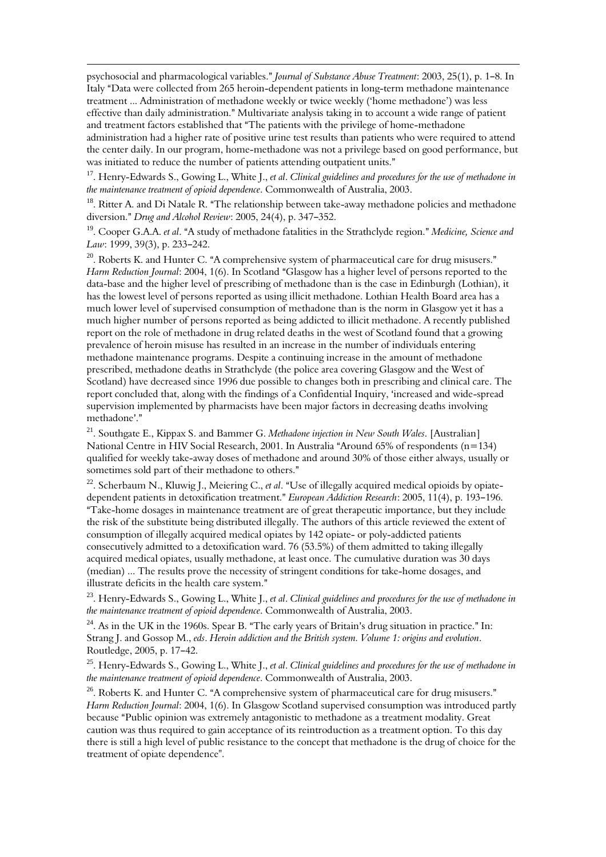psychosocial and pharmacological variables." Journal of Substance Abuse Treatment: 2003, 25(1), p. 1-8. In Italy "Data were collected from 265 heroin-dependent patients in long-term methadone maintenance treatment ... Administration of methadone weekly or twice weekly ('home methadone') was less effective than daily administration." Multivariate analysis taking in to account a wide range of patient and treatment factors established that "The patients with the privilege of home-methadone administration had a higher rate of positive urine test results than patients who were required to attend the center daily. In our program, home-methadone was not a privilege based on good performance, but was initiated to reduce the number of patients attending outpatient units."

 $\overline{\phantom{0}}$ 

<sup>17</sup>. Henry-Edwards S., Gowing L., White J., et al. Clinical guidelines and procedures for the use of methadone in the maintenance treatment of opioid dependence. Commonwealth of Australia, 2003.

 $18$ . Ritter A. and Di Natale R. "The relationship between take-away methadone policies and methadone diversion." Drug and Alcohol Review: 2005, 24(4), p. 347-352.

<sup>19</sup>. Cooper G.A.A. *et al.* "A study of methadone fatalities in the Strathclyde region." Medicine, Science and Law: 1999, 39(3), p. 233-242.

 $20$ . Roberts K. and Hunter C. "A comprehensive system of pharmaceutical care for drug misusers." Harm Reduction Journal: 2004, 1(6). In Scotland "Glasgow has a higher level of persons reported to the data-base and the higher level of prescribing of methadone than is the case in Edinburgh (Lothian), it has the lowest level of persons reported as using illicit methadone. Lothian Health Board area has a much lower level of supervised consumption of methadone than is the norm in Glasgow yet it has a much higher number of persons reported as being addicted to illicit methadone. A recently published report on the role of methadone in drug related deaths in the west of Scotland found that a growing prevalence of heroin misuse has resulted in an increase in the number of individuals entering methadone maintenance programs. Despite a continuing increase in the amount of methadone prescribed, methadone deaths in Strathclyde (the police area covering Glasgow and the West of Scotland) have decreased since 1996 due possible to changes both in prescribing and clinical care. The report concluded that, along with the findings of a Confidential Inquiry, 'increased and wide-spread supervision implemented by pharmacists have been major factors in decreasing deaths involving methadone'."

<sup>21</sup>. Southgate E., Kippax S. and Bammer G. Methadone injection in New South Wales. [Australian] National Centre in HIV Social Research, 2001. In Australia "Around 65% of respondents (n=134) qualified for weekly take-away doses of methadone and around 30% of those either always, usually or sometimes sold part of their methadone to others."

<sup>22</sup>. Scherbaum N., Kluwig J., Meiering C., et al. "Use of illegally acquired medical opioids by opiatedependent patients in detoxification treatment." European Addiction Research: 2005, 11(4), p. 193-196. "Take-home dosages in maintenance treatment are of great therapeutic importance, but they include the risk of the substitute being distributed illegally. The authors of this article reviewed the extent of consumption of illegally acquired medical opiates by 142 opiate- or poly-addicted patients consecutively admitted to a detoxification ward. 76 (53.5%) of them admitted to taking illegally acquired medical opiates, usually methadone, at least once. The cumulative duration was 30 days (median) ... The results prove the necessity of stringent conditions for take-home dosages, and illustrate deficits in the health care system."

<sup>23</sup>. Henry-Edwards S., Gowing L., White J., et al. Clinical guidelines and procedures for the use of methadone in the maintenance treatment of opioid dependence. Commonwealth of Australia, 2003.

<sup>24</sup>. As in the UK in the 1960s. Spear B. "The early years of Britain's drug situation in practice." In: Strang J. and Gossop M., eds. Heroin addiction and the British system. Volume 1: origins and evolution. Routledge, 2005, p. 17-42.

<sup>25</sup>. Henry-Edwards S., Gowing L., White J., et al. Clinical guidelines and procedures for the use of methadone in the maintenance treatment of opioid dependence. Commonwealth of Australia, 2003.

 $26$ . Roberts K. and Hunter C. "A comprehensive system of pharmaceutical care for drug misusers." Harm Reduction Journal: 2004, 1(6). In Glasgow Scotland supervised consumption was introduced partly because "Public opinion was extremely antagonistic to methadone as a treatment modality. Great caution was thus required to gain acceptance of its reintroduction as a treatment option. To this day there is still a high level of public resistance to the concept that methadone is the drug of choice for the treatment of opiate dependence".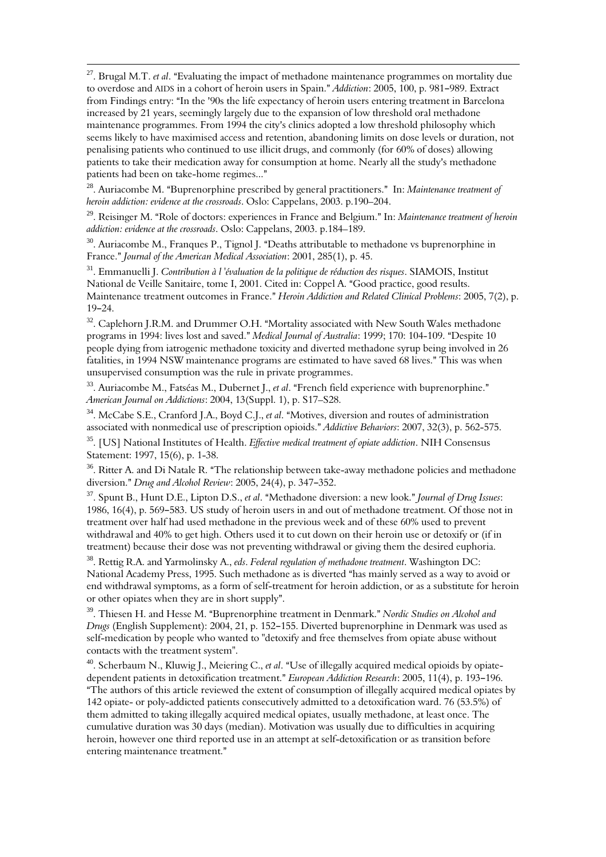$^{27}$ . Brugal M.T. *et al*. "Evaluating the impact of methadone maintenance programmes on mortality due to overdose and AIDS in a cohort of heroin users in Spain." *Addiction*: 2005, 100, p. 981–989. Extract from Findings entry: "In the '90s the life expectancy of heroin users entering treatment in Barcelona increased by 21 years, seemingly largely due to the expansion of low threshold oral methadone maintenance programmes. From 1994 the city's clinics adopted a low threshold philosophy which seems likely to have maximised access and retention, abandoning limits on dose levels or duration, not penalising patients who continued to use illicit drugs, and commonly (for 60% of doses) allowing patients to take their medication away for consumption at home. Nearly all the study's methadone patients had been on take-home regimes..."

 $\overline{\phantom{0}}$ 

 $^{28}$ . Auriacombe M. "Buprenorphine prescribed by general practitioners." In: Maintenance treatment of heroin addiction: evidence at the crossroads. Oslo: Cappelans, 2003. p.190–204.

<sup>29</sup>. Reisinger M. "Role of doctors: experiences in France and Belgium." In: Maintenance treatment of heroin addiction: evidence at the crossroads. Oslo: Cappelans, 2003. p.184–189.

 $30.$  Auriacombe M., Franques P., Tignol J. "Deaths attributable to methadone vs buprenorphine in France." *Journal of the American Medical Association: 2001, 285(1), p. 45.* 

<sup>31</sup>. Emmanuelli J. Contribution à l'évaluation de la politique de réduction des risques. SIAMOIS, Institut National de Veille Sanitaire, tome I, 2001. Cited in: Coppel A. "Good practice, good results. Maintenance treatment outcomes in France." Heroin Addiction and Related Clinical Problems: 2005, 7(2), p.  $19-24.$ 

<sup>32</sup>. Caplehorn J.R.M. and Drummer O.H. "Mortality associated with New South Wales methadone programs in 1994: lives lost and saved." Medical Journal of Australia: 1999; 170: 104-109. "Despite 10 people dying from iatrogenic methadone toxicity and diverted methadone syrup being involved in 26 fatalities, in 1994 NSW maintenance programs are estimated to have saved 68 lives." This was when unsupervised consumption was the rule in private programmes.

 $33.$  Auriacombe M., Fatséas M., Dubernet J., et al. "French field experience with buprenorphine." American Journal on Addictions: 2004, 13(Suppl. 1), p. S17–S28.

<sup>34</sup>. McCabe S.E., Cranford J.A., Boyd C.J., et al. "Motives, diversion and routes of administration associated with nonmedical use of prescription opioids." Addictive Behaviors: 2007, 32(3), p. 562-575.

<sup>35</sup>. [US] National Institutes of Health. Effective medical treatment of opiate addiction. NIH Consensus Statement: 1997, 15(6), p. 1-38.

<sup>36</sup>. Ritter A. and Di Natale R. "The relationship between take-away methadone policies and methadone diversion." Drug and Alcohol Review: 2005, 24(4), p. 347-352.

<sup>37</sup>. Spunt B., Hunt D.E., Lipton D.S., et al. "Methadone diversion: a new look." Journal of Drug Issues: 1986, 16(4), p. 569-583. US study of heroin users in and out of methadone treatment. Of those not in treatment over half had used methadone in the previous week and of these 60% used to prevent withdrawal and 40% to get high. Others used it to cut down on their heroin use or detoxify or (if in treatment) because their dose was not preventing withdrawal or giving them the desired euphoria.

<sup>38</sup>. Rettig R.A. and Yarmolinsky A., eds. Federal regulation of methadone treatment. Washington DC: National Academy Press, 1995. Such methadone as is diverted "has mainly served as a way to avoid or end withdrawal symptoms, as a form of self-treatment for heroin addiction, or as a substitute for heroin or other opiates when they are in short supply".

<sup>39</sup>. Thiesen H. and Hesse M. "Buprenorphine treatment in Denmark." Nordic Studies on Alcohol and Drugs (English Supplement): 2004, 21, p. 152-155. Diverted buprenorphine in Denmark was used as self-medication by people who wanted to "detoxify and free themselves from opiate abuse without contacts with the treatment system".

<sup>40</sup>. Scherbaum N., Kluwig J., Meiering C., et al. "Use of illegally acquired medical opioids by opiatedependent patients in detoxification treatment." European Addiction Research: 2005, 11(4), p. 193-196. "The authors of this article reviewed the extent of consumption of illegally acquired medical opiates by 142 opiate- or poly-addicted patients consecutively admitted to a detoxification ward. 76 (53.5%) of them admitted to taking illegally acquired medical opiates, usually methadone, at least once. The cumulative duration was 30 days (median). Motivation was usually due to difficulties in acquiring heroin, however one third reported use in an attempt at self-detoxification or as transition before entering maintenance treatment."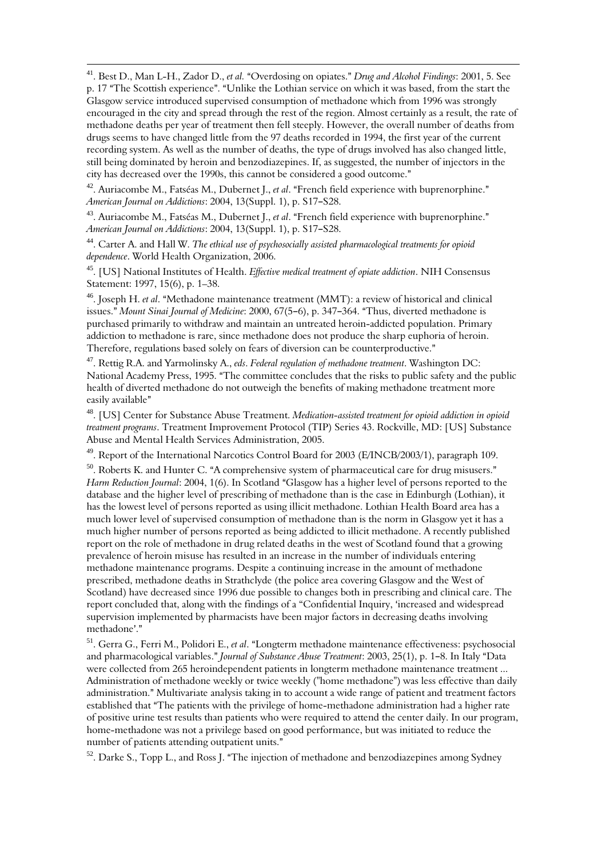$\overline{\phantom{0}}$  $^{41}$ . Best D., Man L-H., Zador D., et al. "Overdosing on opiates." Drug and Alcohol Findings: 2001, 5. See p. 17 "The Scottish experience". "Unlike the Lothian service on which it was based, from the start the Glasgow service introduced supervised consumption of methadone which from 1996 was strongly encouraged in the city and spread through the rest of the region. Almost certainly as a result, the rate of methadone deaths per year of treatment then fell steeply. However, the overall number of deaths from drugs seems to have changed little from the 97 deaths recorded in 1994, the first year of the current recording system. As well as the number of deaths, the type of drugs involved has also changed little, still being dominated by heroin and benzodiazepines. If, as suggested, the number of injectors in the city has decreased over the 1990s, this cannot be considered a good outcome."

<sup>42</sup>. Auriacombe M., Fatséas M., Dubernet J., et al. "French field experience with buprenorphine." American Journal on Addictions: 2004, 13(Suppl. 1), p. S17-S28.

<sup>43</sup>. Auriacombe M., Fatséas M., Dubernet J., et al. "French field experience with buprenorphine." American Journal on Addictions: 2004, 13(Suppl. 1), p. S17-S28.

<sup>44</sup>. Carter A. and Hall W. The ethical use of psychosocially assisted pharmacological treatments for opioid dependence. World Health Organization, 2006.

<sup>45</sup>. [US] National Institutes of Health. Effective medical treatment of opiate addiction. NIH Consensus Statement: 1997, 15(6), p. 1–38.

 $46.$  Joseph H. et al. "Methadone maintenance treatment (MMT): a review of historical and clinical issues." Mount Sinai Journal of Medicine: 2000, 67(5–6), p. 347–364. "Thus, diverted methadone is purchased primarily to withdraw and maintain an untreated heroin-addicted population. Primary addiction to methadone is rare, since methadone does not produce the sharp euphoria of heroin. Therefore, regulations based solely on fears of diversion can be counterproductive."

 $47$ . Rettig R.A. and Yarmolinsky A., eds. Federal regulation of methadone treatment. Washington DC: National Academy Press, 1995. "The committee concludes that the risks to public safety and the public health of diverted methadone do not outweigh the benefits of making methadone treatment more easily available"

<sup>48</sup>. [US] Center for Substance Abuse Treatment. Medication-assisted treatment for opioid addiction in opioid treatment programs. Treatment Improvement Protocol (TIP) Series 43. Rockville, MD: [US] Substance Abuse and Mental Health Services Administration, 2005.

<sup>49</sup>. Report of the International Narcotics Control Board for 2003 (E/INCB/2003/1), paragraph 109.

 $50.$  Roberts K. and Hunter C. "A comprehensive system of pharmaceutical care for drug misusers." Harm Reduction Journal: 2004, 1(6). In Scotland "Glasgow has a higher level of persons reported to the database and the higher level of prescribing of methadone than is the case in Edinburgh (Lothian), it has the lowest level of persons reported as using illicit methadone. Lothian Health Board area has a much lower level of supervised consumption of methadone than is the norm in Glasgow yet it has a much higher number of persons reported as being addicted to illicit methadone. A recently published report on the role of methadone in drug related deaths in the west of Scotland found that a growing prevalence of heroin misuse has resulted in an increase in the number of individuals entering methadone maintenance programs. Despite a continuing increase in the amount of methadone prescribed, methadone deaths in Strathclyde (the police area covering Glasgow and the West of Scotland) have decreased since 1996 due possible to changes both in prescribing and clinical care. The report concluded that, along with the findings of a "Confidential Inquiry, 'increased and widespread supervision implemented by pharmacists have been major factors in decreasing deaths involving methadone'."

<sup>51</sup>. Gerra G., Ferri M., Polidori E., et al. "Longterm methadone maintenance effectiveness: psychosocial and pharmacological variables." Journal of Substance Abuse Treatment: 2003, 25(1), p. 1-8. In Italy "Data were collected from 265 heroindependent patients in longterm methadone maintenance treatment ... Administration of methadone weekly or twice weekly ("home methadone") was less effective than daily administration." Multivariate analysis taking in to account a wide range of patient and treatment factors established that "The patients with the privilege of home-methadone administration had a higher rate of positive urine test results than patients who were required to attend the center daily. In our program, home-methadone was not a privilege based on good performance, but was initiated to reduce the number of patients attending outpatient units."

 $52$ . Darke S., Topp L., and Ross J. "The injection of methadone and benzodiazepines among Sydney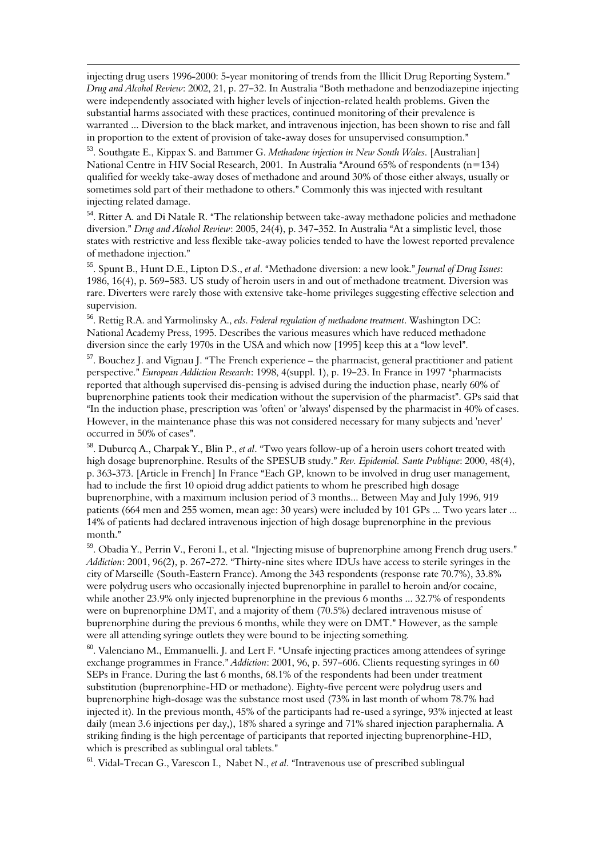injecting drug users 1996-2000: 5-year monitoring of trends from the Illicit Drug Reporting System." Drug and Alcohol Review: 2002, 21, p. 27–32. In Australia "Both methadone and benzodiazepine injecting were independently associated with higher levels of injection-related health problems. Given the substantial harms associated with these practices, continued monitoring of their prevalence is warranted ... Diversion to the black market, and intravenous injection, has been shown to rise and fall in proportion to the extent of provision of take-away doses for unsupervised consumption."

 $\overline{\phantom{0}}$ 

<sup>53</sup>. Southgate E., Kippax S. and Bammer G. Methadone injection in New South Wales. [Australian] National Centre in HIV Social Research, 2001. In Australia "Around 65% of respondents (n=134) qualified for weekly take-away doses of methadone and around 30% of those either always, usually or sometimes sold part of their methadone to others." Commonly this was injected with resultant injecting related damage.

<sup>54</sup>. Ritter A. and Di Natale R. "The relationship between take-away methadone policies and methadone diversion." Drug and Alcohol Review: 2005, 24(4), p. 347–352. In Australia "At a simplistic level, those states with restrictive and less flexible take-away policies tended to have the lowest reported prevalence of methadone injection."

<sup>55</sup>. Spunt B., Hunt D.E., Lipton D.S., et al. "Methadone diversion: a new look." *Journal of Drug Issues*: 1986, 16(4), p. 569–583. US study of heroin users in and out of methadone treatment. Diversion was rare. Diverters were rarely those with extensive take-home privileges suggesting effective selection and supervision.

<sup>56</sup>. Rettig R.A. and Yarmolinsky A., eds. Federal regulation of methadone treatment. Washington DC: National Academy Press, 1995. Describes the various measures which have reduced methadone diversion since the early 1970s in the USA and which now  $[1995]$  keep this at a "low level".

 $57.$  Bouchez J. and Vignau J. "The French experience – the pharmacist, general practitioner and patient perspective." European Addiction Research: 1998, 4(suppl. 1), p. 19-23. In France in 1997 "pharmacists reported that although supervised dis-pensing is advised during the induction phase, nearly 60% of buprenorphine patients took their medication without the supervision of the pharmacist". GPs said that "In the induction phase, prescription was 'often' or 'always' dispensed by the pharmacist in  $40\%$  of cases. However, in the maintenance phase this was not considered necessary for many subjects and 'never' occurred in 50% of cases".

<sup>58</sup>. Duburcq A., Charpak Y., Blin P., et al. "Two years follow-up of a heroin users cohort treated with high dosage buprenorphine. Results of the SPESUB study." Rev. Epidemiol. Sante Publique: 2000, 48(4), p. 363-373. [Article in French] In France "Each GP, known to be involved in drug user management, had to include the first 10 opioid drug addict patients to whom he prescribed high dosage buprenorphine, with a maximum inclusion period of 3 months... Between May and July 1996, 919 patients (664 men and 255 women, mean age: 30 years) were included by 101 GPs ... Two years later ... 14% of patients had declared intravenous injection of high dosage buprenorphine in the previous month."

<sup>59</sup>. Obadia Y., Perrin V., Feroni I., et al. "Injecting misuse of buprenorphine among French drug users." Addiction: 2001, 96(2), p. 267-272. "Thirty-nine sites where IDUs have access to sterile syringes in the city of Marseille (South-Eastern France). Among the 343 respondents (response rate 70.7%), 33.8% were polydrug users who occasionally injected buprenorphine in parallel to heroin and/or cocaine, while another 23.9% only injected buprenorphine in the previous 6 months ... 32.7% of respondents were on buprenorphine DMT, and a majority of them (70.5%) declared intravenous misuse of buprenorphine during the previous 6 months, while they were on DMT." However, as the sample were all attending syringe outlets they were bound to be injecting something.

<sup>60</sup>. Valenciano M., Emmanuelli. J. and Lert F. "Unsafe injecting practices among attendees of syringe exchange programmes in France." Addiction: 2001, 96, p. 597-606. Clients requesting syringes in 60 SEPs in France. During the last 6 months, 68.1% of the respondents had been under treatment substitution (buprenorphine-HD or methadone). Eighty-five percent were polydrug users and buprenorphine high-dosage was the substance most used (73% in last month of whom 78.7% had injected it). In the previous month, 45% of the participants had re-used a syringe, 93% injected at least daily (mean 3.6 injections per day,), 18% shared a syringe and 71% shared injection paraphernalia. A striking finding is the high percentage of participants that reported injecting buprenorphine-HD, which is prescribed as sublingual oral tablets."

 $61.$  Vidal-Trecan G., Varescon I., Nabet N., *et al.* "Intravenous use of prescribed sublingual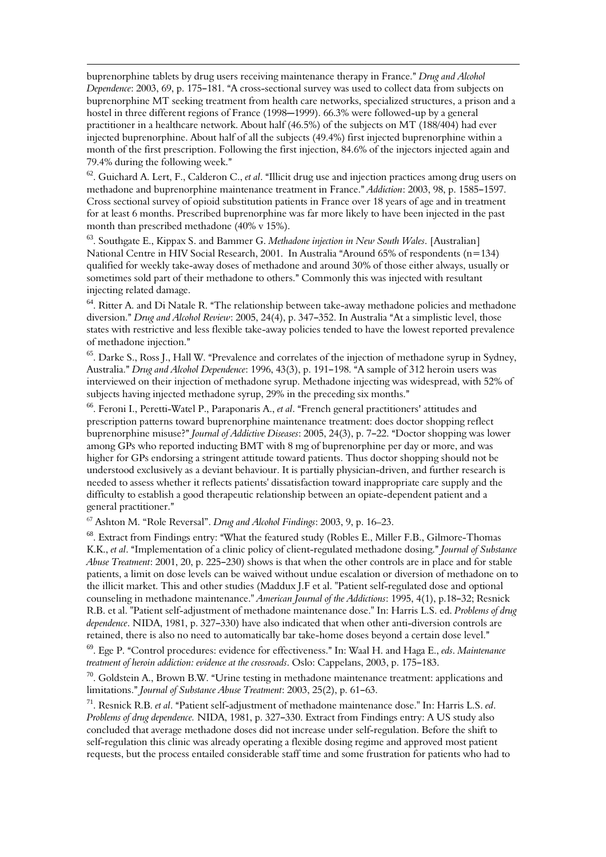buprenorphine tablets by drug users receiving maintenance therapy in France." Drug and Alcohol Dependence: 2003, 69, p. 175–181. "A cross-sectional survey was used to collect data from subjects on buprenorphine MT seeking treatment from health care networks, specialized structures, a prison and a hostel in three different regions of France (1998–1999). 66.3% were followed-up by a general practitioner in a healthcare network. About half (46.5%) of the subjects on MT (188/404) had ever injected buprenorphine. About half of all the subjects (49.4%) first injected buprenorphine within a month of the first prescription. Following the first injection, 84.6% of the injectors injected again and 79.4% during the following week."

 $\overline{\phantom{0}}$ 

 $62$ . Guichard A. Lert, F., Calderon C., et al. "Illicit drug use and injection practices among drug users on methadone and buprenorphine maintenance treatment in France." Addiction: 2003, 98, p. 1585–1597. Cross sectional survey of opioid substitution patients in France over 18 years of age and in treatment for at least 6 months. Prescribed buprenorphine was far more likely to have been injected in the past month than prescribed methadone (40% v 15%).

 $63.$  Southgate E., Kippax S. and Bammer G. Methadone injection in New South Wales. [Australian] National Centre in HIV Social Research, 2001. In Australia "Around 65% of respondents (n=134) qualified for weekly take-away doses of methadone and around 30% of those either always, usually or sometimes sold part of their methadone to others." Commonly this was injected with resultant injecting related damage.

<sup>64</sup>. Ritter A. and Di Natale R. "The relationship between take-away methadone policies and methadone diversion." Drug and Alcohol Review: 2005, 24(4), p. 347-352. In Australia "At a simplistic level, those states with restrictive and less flexible take-away policies tended to have the lowest reported prevalence of methadone injection."

<sup>65</sup>. Darke S., Ross J., Hall W. "Prevalence and correlates of the injection of methadone syrup in Sydney, Australia." Drug and Alcohol Dependence: 1996, 43(3), p. 191-198. "A sample of 312 heroin users was interviewed on their injection of methadone syrup. Methadone injecting was widespread, with 52% of subjects having injected methadone syrup, 29% in the preceding six months."

<sup>66</sup>. Feroni I., Peretti-Watel P., Paraponaris A., et al. "French general practitioners' attitudes and prescription patterns toward buprenorphine maintenance treatment: does doctor shopping reflect buprenorphine misuse?" Journal of Addictive Diseases: 2005, 24(3), p. 7-22. "Doctor shopping was lower among GPs who reported inducting BMT with 8 mg of buprenorphine per day or more, and was higher for GPs endorsing a stringent attitude toward patients. Thus doctor shopping should not be understood exclusively as a deviant behaviour. It is partially physician-driven, and further research is needed to assess whether it reflects patients' dissatisfaction toward inappropriate care supply and the difficulty to establish a good therapeutic relationship between an opiate-dependent patient and a general practitioner."

<sup>67</sup> Ashton M. "Role Reversal". Drug and Alcohol Findings: 2003, 9, p. 16–23.

<sup>68</sup>. Extract from Findings entry: "What the featured study (Robles E., Miller F.B., Gilmore-Thomas K.K., et al. "Implementation of a clinic policy of client-regulated methadone dosing." Journal of Substance Abuse Treatment: 2001, 20, p. 225-230) shows is that when the other controls are in place and for stable patients, a limit on dose levels can be waived without undue escalation or diversion of methadone on to the illicit market. This and other studies (Maddux J.F et al. "Patient self-regulated dose and optional counseling in methadone maintenance." American Journal of the Addictions: 1995, 4(1), p.18-32; Resnick R.B. et al. "Patient self-adjustment of methadone maintenance dose." In: Harris L.S. ed. Problems of drug dependence. NIDA, 1981, p. 327-330) have also indicated that when other anti-diversion controls are retained, there is also no need to automatically bar take-home doses beyond a certain dose level."

<sup>69</sup>. Ege P. "Control procedures: evidence for effectiveness." In: Waal H. and Haga E., eds. Maintenance treatment of heroin addiction: evidence at the crossroads. Oslo: Cappelans, 2003, p. 175-183.

 $70$ . Goldstein A., Brown B.W. "Urine testing in methadone maintenance treatment: applications and limitations." Journal of Substance Abuse Treatment: 2003, 25(2), p. 61-63.

<sup>71</sup>. Resnick R.B. et al. "Patient self-adjustment of methadone maintenance dose." In: Harris L.S. ed. Problems of drug dependence. NIDA, 1981, p. 327-330. Extract from Findings entry: A US study also concluded that average methadone doses did not increase under self-regulation. Before the shift to self-regulation this clinic was already operating a flexible dosing regime and approved most patient requests, but the process entailed considerable staff time and some frustration for patients who had to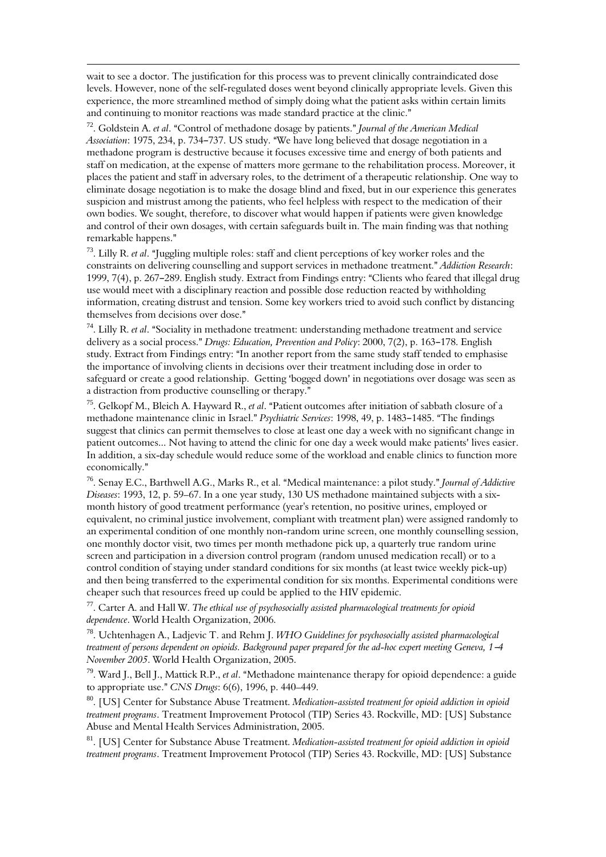wait to see a doctor. The justification for this process was to prevent clinically contraindicated dose levels. However, none of the self-regulated doses went beyond clinically appropriate levels. Given this experience, the more streamlined method of simply doing what the patient asks within certain limits and continuing to monitor reactions was made standard practice at the clinic."

 $\overline{\phantom{0}}$ 

<sup>72</sup>. Goldstein A. et al. "Control of methadone dosage by patients." Journal of the American Medical Association: 1975, 234, p. 734-737. US study. "We have long believed that dosage negotiation in a methadone program is destructive because it focuses excessive time and energy of both patients and staff on medication, at the expense of matters more germane to the rehabilitation process. Moreover, it places the patient and staff in adversary roles, to the detriment of a therapeutic relationship. One way to eliminate dosage negotiation is to make the dosage blind and fixed, but in our experience this generates suspicion and mistrust among the patients, who feel helpless with respect to the medication of their own bodies. We sought, therefore, to discover what would happen if patients were given knowledge and control of their own dosages, with certain safeguards built in. The main finding was that nothing remarkable happens."

 $73$ . Lilly R. *et al.* "Juggling multiple roles: staff and client perceptions of key worker roles and the constraints on delivering counselling and support services in methadone treatment." Addiction Research: 1999, 7(4), p. 267–289. English study. Extract from Findings entry: "Clients who feared that illegal drug use would meet with a disciplinary reaction and possible dose reduction reacted by withholding information, creating distrust and tension. Some key workers tried to avoid such conflict by distancing themselves from decisions over dose."

 $74$ . Lilly R. et al. "Sociality in methadone treatment: understanding methadone treatment and service delivery as a social process." Drugs: Education, Prevention and Policy: 2000, 7(2), p. 163–178. English study. Extract from Findings entry: "In another report from the same study staff tended to emphasise the importance of involving clients in decisions over their treatment including dose in order to safeguard or create a good relationship. Getting 'bogged down' in negotiations over dosage was seen as a distraction from productive counselling or therapy."

<sup>75</sup>. Gelkopf M., Bleich A. Hayward R., et al. "Patient outcomes after initiation of sabbath closure of a methadone maintenance clinic in Israel." Psychiatric Services: 1998, 49, p. 1483-1485. "The findings suggest that clinics can permit themselves to close at least one day a week with no significant change in patient outcomes... Not having to attend the clinic for one day a week would make patients' lives easier. In addition, a six-day schedule would reduce some of the workload and enable clinics to function more economically."

<sup>76</sup>. Senay E.C., Barthwell A.G., Marks R., et al. "Medical maintenance: a pilot study." *Journal of Addictive* Diseases: 1993, 12, p. 59–67. In a one year study, 130 US methadone maintained subjects with a sixmonth history of good treatment performance (year's retention, no positive urines, employed or equivalent, no criminal justice involvement, compliant with treatment plan) were assigned randomly to an experimental condition of one monthly non-random urine screen, one monthly counselling session, one monthly doctor visit, two times per month methadone pick up, a quarterly true random urine screen and participation in a diversion control program (random unused medication recall) or to a control condition of staying under standard conditions for six months (at least twice weekly pick-up) and then being transferred to the experimental condition for six months. Experimental conditions were cheaper such that resources freed up could be applied to the HIV epidemic.

 $77$ . Carter A. and Hall W. The ethical use of psychosocially assisted pharmacological treatments for opioid dependence. World Health Organization, 2006.

<sup>78</sup>. Uchtenhagen A., Ladjevic T. and Rehm J. WHO Guidelines for psychosocially assisted pharmacological treatment of persons dependent on opioids. Background paper prepared for the ad-hoc expert meeting Geneva, 1-4 November 2005. World Health Organization, 2005.

 $79$ . Ward J., Bell J., Mattick R.P., et al. "Methadone maintenance therapy for opioid dependence: a guide to appropriate use." CNS Drugs:  $6(6)$ , 1996, p. 440–449.

<sup>80</sup>. [US] Center for Substance Abuse Treatment. Medication-assisted treatment for opioid addiction in opioid treatment programs. Treatment Improvement Protocol (TIP) Series 43. Rockville, MD: [US] Substance Abuse and Mental Health Services Administration, 2005.

<sup>81</sup>. [US] Center for Substance Abuse Treatment. Medication-assisted treatment for opioid addiction in opioid treatment programs. Treatment Improvement Protocol (TIP) Series 43. Rockville, MD: [US] Substance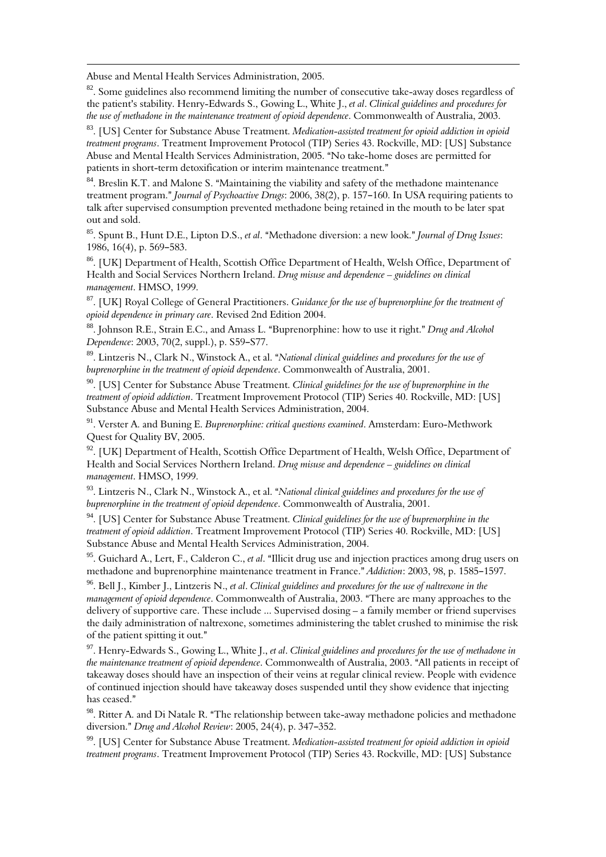Abuse and Mental Health Services Administration, 2005.

 $\overline{\phantom{0}}$ 

<sup>82</sup>. Some guidelines also recommend limiting the number of consecutive take-away doses regardless of the patient's stability. Henry-Edwards S., Gowing L., White J., et al. Clinical guidelines and procedures for the use of methadone in the maintenance treatment of opioid dependence. Commonwealth of Australia, 2003.

<sup>83</sup>. [US] Center for Substance Abuse Treatment. Medication-assisted treatment for opioid addiction in opioid treatment programs. Treatment Improvement Protocol (TIP) Series 43. Rockville, MD: [US] Substance Abuse and Mental Health Services Administration, 2005. "No take-home doses are permitted for patients in short-term detoxification or interim maintenance treatment."

 $84$ . Breslin K.T. and Malone S. "Maintaining the viability and safety of the methadone maintenance treatment program." Journal of Psychoactive Drugs: 2006, 38(2), p. 157-160. In USA requiring patients to talk after supervised consumption prevented methadone being retained in the mouth to be later spat out and sold.

<sup>85</sup>. Spunt B., Hunt D.E., Lipton D.S., et al. "Methadone diversion: a new look." Journal of Drug Issues: 1986, 16(4), p. 569-583.

<sup>86</sup>. [UK] Department of Health, Scottish Office Department of Health, Welsh Office, Department of Health and Social Services Northern Ireland. Drug misuse and dependence – guidelines on clinical management. HMSO, 1999.

<sup>87</sup>. [UK] Royal College of General Practitioners. Guidance for the use of buprenorphine for the treatment of opioid dependence in primary care. Revised 2nd Edition 2004.

<sup>88</sup>. Johnson R.E., Strain E.C., and Amass L. "Buprenorphine: how to use it right." Drug and Alcohol Dependence: 2003, 70(2, suppl.), p. S59-S77.

 $89.$  Lintzeris N., Clark N., Winstock A., et al. "National clinical guidelines and procedures for the use of buprenorphine in the treatment of opioid dependence. Commonwealth of Australia, 2001.

<sup>90</sup>. [US] Center for Substance Abuse Treatment. Clinical guidelines for the use of buprenorphine in the treatment of opioid addiction. Treatment Improvement Protocol (TIP) Series 40. Rockville, MD: [US] Substance Abuse and Mental Health Services Administration, 2004.

<sup>91</sup>. Verster A. and Buning E. Buprenorphine: critical questions examined. Amsterdam: Euro-Methwork Quest for Quality BV, 2005.

 $92.$  [UK] Department of Health, Scottish Office Department of Health, Welsh Office, Department of Health and Social Services Northern Ireland. Drug misuse and dependence – guidelines on clinical management. HMSO, 1999.

 $93$ . Lintzeris N., Clark N., Winstock A., et al. "National clinical guidelines and procedures for the use of buprenorphine in the treatment of opioid dependence. Commonwealth of Australia, 2001.

<sup>94</sup>. [US] Center for Substance Abuse Treatment. Clinical guidelines for the use of buprenorphine in the treatment of opioid addiction. Treatment Improvement Protocol (TIP) Series 40. Rockville, MD: [US] Substance Abuse and Mental Health Services Administration, 2004.

<sup>95</sup>. Guichard A., Lert, F., Calderon C., et al. "Illicit drug use and injection practices among drug users on methadone and buprenorphine maintenance treatment in France." Addiction: 2003, 98, p. 1585-1597.

 $96$ . Bell J., Kimber J., Lintzeris N., et al. Clinical guidelines and procedures for the use of naltrexone in the management of opioid dependence. Commonwealth of Australia, 2003. "There are many approaches to the delivery of supportive care. These include ... Supervised dosing – a family member or friend supervises the daily administration of naltrexone, sometimes administering the tablet crushed to minimise the risk of the patient spitting it out."

97. Henry-Edwards S., Gowing L., White J., et al. Clinical guidelines and procedures for the use of methadone in the maintenance treatment of opioid dependence. Commonwealth of Australia, 2003. "All patients in receipt of takeaway doses should have an inspection of their veins at regular clinical review. People with evidence of continued injection should have takeaway doses suspended until they show evidence that injecting has ceased."

<sup>98</sup>. Ritter A. and Di Natale R. "The relationship between take-away methadone policies and methadone diversion." Drug and Alcohol Review: 2005, 24(4), p. 347-352.

<sup>99</sup>. [US] Center for Substance Abuse Treatment. Medication-assisted treatment for opioid addiction in opioid treatment programs. Treatment Improvement Protocol (TIP) Series 43. Rockville, MD: [US] Substance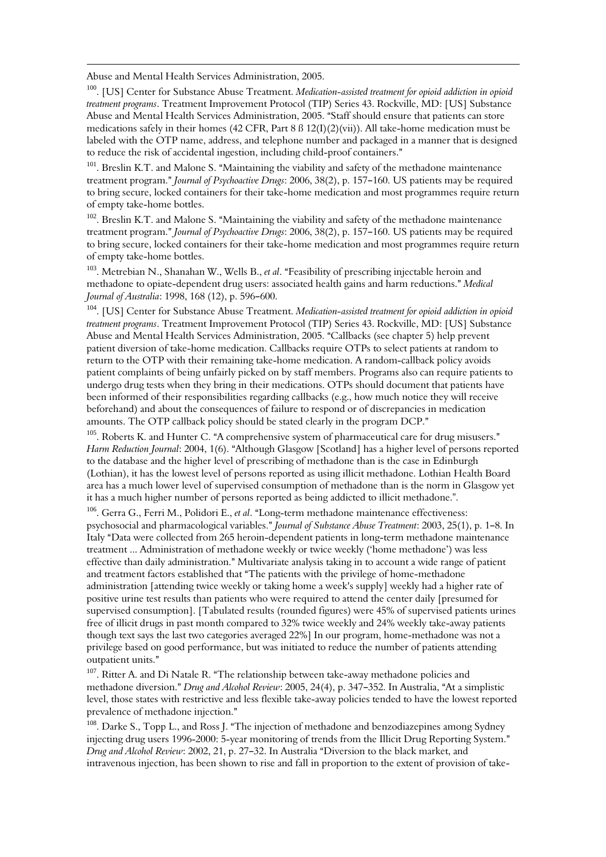Abuse and Mental Health Services Administration, 2005.

 $\overline{\phantom{0}}$ 

<sup>100</sup>. [US] Center for Substance Abuse Treatment. Medication-assisted treatment for opioid addiction in opioid treatment programs. Treatment Improvement Protocol (TIP) Series 43. Rockville, MD: [US] Substance Abuse and Mental Health Services Administration, 2005. "Staff should ensure that patients can store medications safely in their homes (42 CFR, Part 8 ß 12(I)(2)(vii)). All take-home medication must be labeled with the OTP name, address, and telephone number and packaged in a manner that is designed to reduce the risk of accidental ingestion, including child-proof containers."

<sup>101</sup>. Breslin K.T. and Malone S. "Maintaining the viability and safety of the methadone maintenance treatment program." Journal of Psychoactive Drugs: 2006, 38(2), p. 157-160. US patients may be required to bring secure, locked containers for their take-home medication and most programmes require return of empty take-home bottles.

<sup>102</sup>. Breslin K.T. and Malone S. "Maintaining the viability and safety of the methadone maintenance treatment program." Journal of Psychoactive Drugs: 2006, 38(2), p. 157-160. US patients may be required to bring secure, locked containers for their take-home medication and most programmes require return of empty take-home bottles.

<sup>103</sup>. Metrebian N., Shanahan W., Wells B., et al. "Feasibility of prescribing injectable heroin and methadone to opiate-dependent drug users: associated health gains and harm reductions." Medical *Journal of Australia*:  $1998, 168$  (12), p.  $596-600$ .

<sup>104</sup>. [US] Center for Substance Abuse Treatment. Medication-assisted treatment for opioid addiction in opioid treatment programs. Treatment Improvement Protocol (TIP) Series 43. Rockville, MD: [US] Substance Abuse and Mental Health Services Administration, 2005. "Callbacks (see chapter 5) help prevent patient diversion of take-home medication. Callbacks require OTPs to select patients at random to return to the OTP with their remaining take-home medication. A random-callback policy avoids patient complaints of being unfairly picked on by staff members. Programs also can require patients to undergo drug tests when they bring in their medications. OTPs should document that patients have been informed of their responsibilities regarding callbacks (e.g., how much notice they will receive beforehand) and about the consequences of failure to respond or of discrepancies in medication amounts. The OTP callback policy should be stated clearly in the program DCP."

 $105$ . Roberts K. and Hunter C. "A comprehensive system of pharmaceutical care for drug misusers." Harm Reduction Journal: 2004, 1(6). "Although Glasgow [Scotland] has a higher level of persons reported to the database and the higher level of prescribing of methadone than is the case in Edinburgh (Lothian), it has the lowest level of persons reported as using illicit methadone. Lothian Health Board area has a much lower level of supervised consumption of methadone than is the norm in Glasgow yet it has a much higher number of persons reported as being addicted to illicit methadone.".

 $106$ . Gerra G., Ferri M., Polidori E., et al. "Long-term methadone maintenance effectiveness: psychosocial and pharmacological variables." Journal of Substance Abuse Treatment: 2003, 25(1), p. 1-8. In Italy "Data were collected from 265 heroin-dependent patients in long-term methadone maintenance treatment ... Administration of methadone weekly or twice weekly ('home methadone') was less effective than daily administration." Multivariate analysis taking in to account a wide range of patient and treatment factors established that "The patients with the privilege of home-methadone administration [attending twice weekly or taking home a week's supply] weekly had a higher rate of positive urine test results than patients who were required to attend the center daily [presumed for supervised consumption]. [Tabulated results (rounded figures) were 45% of supervised patients urines free of illicit drugs in past month compared to 32% twice weekly and 24% weekly take-away patients though text says the last two categories averaged 22%] In our program, home-methadone was not a privilege based on good performance, but was initiated to reduce the number of patients attending outpatient units."

 $107$ . Ritter A. and Di Natale R. "The relationship between take-away methadone policies and methadone diversion." Drug and Alcohol Review: 2005, 24(4), p. 347-352. In Australia, "At a simplistic level, those states with restrictive and less flexible take-away policies tended to have the lowest reported prevalence of methadone injection."

<sup>108</sup>. Darke S., Topp L., and Ross J. "The injection of methadone and benzodiazepines among Sydney injecting drug users 1996-2000: 5-year monitoring of trends from the Illicit Drug Reporting System." Drug and Alcohol Review: 2002, 21, p. 27-32. In Australia "Diversion to the black market, and intravenous injection, has been shown to rise and fall in proportion to the extent of provision of take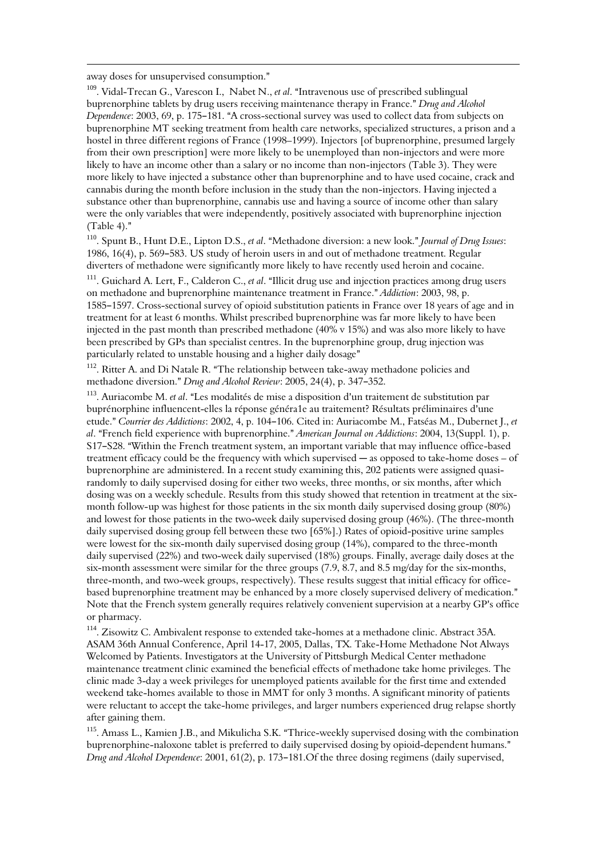away doses for unsupervised consumption."

 $\overline{\phantom{0}}$ 

<sup>109</sup>. Vidal-Trecan G., Varescon I., Nabet N., et al. "Intravenous use of prescribed sublingual buprenorphine tablets by drug users receiving maintenance therapy in France." Drug and Alcohol Dependence: 2003, 69, p. 175-181. "A cross-sectional survey was used to collect data from subjects on buprenorphine MT seeking treatment from health care networks, specialized structures, a prison and a hostel in three different regions of France (1998–1999). Injectors [of buprenorphine, presumed largely from their own prescription] were more likely to be unemployed than non-injectors and were more likely to have an income other than a salary or no income than non-injectors (Table 3). They were more likely to have injected a substance other than buprenorphine and to have used cocaine, crack and cannabis during the month before inclusion in the study than the non-injectors. Having injected a substance other than buprenorphine, cannabis use and having a source of income other than salary were the only variables that were independently, positively associated with buprenorphine injection  $(Table 4).$ "

<sup>110</sup>. Spunt B., Hunt D.E., Lipton D.S., et al. "Methadone diversion: a new look." Journal of Drug Issues: 1986, 16(4), p. 569–583. US study of heroin users in and out of methadone treatment. Regular diverters of methadone were significantly more likely to have recently used heroin and cocaine.

<sup>111</sup>. Guichard A. Lert, F., Calderon C., *et al.* "Illicit drug use and injection practices among drug users on methadone and buprenorphine maintenance treatment in France." Addiction: 2003, 98, p. 1585–1597. Cross-sectional survey of opioid substitution patients in France over 18 years of age and in treatment for at least 6 months. Whilst prescribed buprenorphine was far more likely to have been injected in the past month than prescribed methadone (40% v 15%) and was also more likely to have been prescribed by GPs than specialist centres. In the buprenorphine group, drug injection was particularly related to unstable housing and a higher daily dosage"

 $112$ . Ritter A. and Di Natale R. "The relationship between take-away methadone policies and methadone diversion." Drug and Alcohol Review: 2005, 24(4), p. 347-352.

 $113$ . Auriacombe M. *et al.* "Les modalités de mise a disposition d'un traitement de substitution par buprénorphine influencent-elles la réponse généra1e au traitement? Résultats préliminaires d'une etude." Courrier des Addictions: 2002, 4, p. 104-106. Cited in: Auriacombe M., Fatséas M., Dubernet J., et al. "French field experience with buprenorphine." American Journal on Addictions: 2004, 13(Suppl. 1), p. S17-S28. "Within the French treatment system, an important variable that may influence office-based treatment efficacy could be the frequency with which supervised  $-$  as opposed to take-home doses  $-$  of buprenorphine are administered. In a recent study examining this, 202 patients were assigned quasirandomly to daily supervised dosing for either two weeks, three months, or six months, after which dosing was on a weekly schedule. Results from this study showed that retention in treatment at the sixmonth follow-up was highest for those patients in the six month daily supervised dosing group (80%) and lowest for those patients in the two-week daily supervised dosing group (46%). (The three-month daily supervised dosing group fell between these two [65%].) Rates of opioid-positive urine samples were lowest for the six-month daily supervised dosing group (14%), compared to the three-month daily supervised (22%) and two-week daily supervised (18%) groups. Finally, average daily doses at the six-month assessment were similar for the three groups (7.9, 8.7, and 8.5 mg/day for the six-months, three-month, and two-week groups, respectively). These results suggest that initial efficacy for officebased buprenorphine treatment may be enhanced by a more closely supervised delivery of medication." Note that the French system generally requires relatively convenient supervision at a nearby GP's office or pharmacy.

<sup>114</sup>. Zisowitz C. Ambivalent response to extended take-homes at a methadone clinic. Abstract 35A. ASAM 36th Annual Conference, April 14-17, 2005, Dallas, TX. Take-Home Methadone Not Always Welcomed by Patients. Investigators at the University of Pittsburgh Medical Center methadone maintenance treatment clinic examined the beneficial effects of methadone take home privileges. The clinic made 3-day a week privileges for unemployed patients available for the first time and extended weekend take-homes available to those in MMT for only 3 months. A significant minority of patients were reluctant to accept the take-home privileges, and larger numbers experienced drug relapse shortly after gaining them.

 $115$ . Amass L., Kamien J.B., and Mikulicha S.K. "Thrice-weekly supervised dosing with the combination buprenorphine-naloxone tablet is preferred to daily supervised dosing by opioid-dependent humans." Drug and Alcohol Dependence: 2001, 61(2), p. 173–181. Of the three dosing regimens (daily supervised,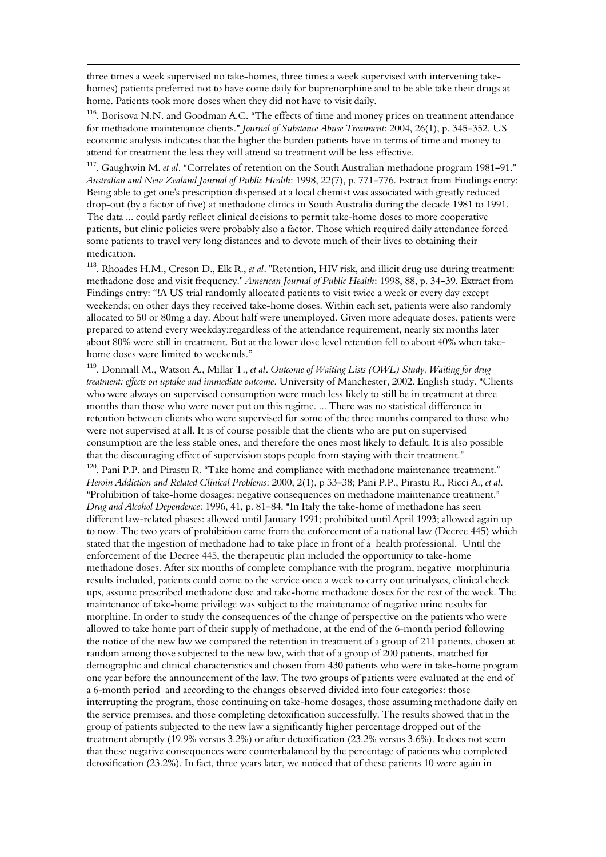three times a week supervised no take-homes, three times a week supervised with intervening takehomes) patients preferred not to have come daily for buprenorphine and to be able take their drugs at home. Patients took more doses when they did not have to visit daily.

 $\overline{\phantom{0}}$ 

<sup>116</sup>. Borisova N.N. and Goodman A.C. "The effects of time and money prices on treatment attendance for methadone maintenance clients." Journal of Substance Abuse Treatment: 2004, 26(1), p. 345-352. US economic analysis indicates that the higher the burden patients have in terms of time and money to attend for treatment the less they will attend so treatment will be less effective.

<sup>117</sup>. Gaughwin M. *et al.* "Correlates of retention on the South Australian methadone program 1981–91." Australian and New Zealand Journal of Public Health: 1998, 22(7), p. 771-776. Extract from Findings entry: Being able to get one's prescription dispensed at a local chemist was associated with greatly reduced drop-out (by a factor of five) at methadone clinics in South Australia during the decade 1981 to 1991. The data ... could partly reflect clinical decisions to permit take-home doses to more cooperative patients, but clinic policies were probably also a factor. Those which required daily attendance forced some patients to travel very long distances and to devote much of their lives to obtaining their medication.

<sup>118</sup>. Rhoades H.M., Creson D., Elk R., *et al.* "Retention, HIV risk, and illicit drug use during treatment: methadone dose and visit frequency." American Journal of Public Health: 1998, 88, p. 34-39. Extract from Findings entry: "!A US trial randomly allocated patients to visit twice a week or every day except weekends; on other days they received take-home doses. Within each set, patients were also randomly allocated to 50 or 80mg a day. About half were unemployed. Given more adequate doses, patients were prepared to attend every weekday;regardless of the attendance requirement, nearly six months later about 80% were still in treatment. But at the lower dose level retention fell to about 40% when takehome doses were limited to weekends."

<sup>119</sup>. Donmall M., Watson A., Millar T., et al. Outcome of Waiting Lists (OWL) Study. Waiting for drug treatment: effects on uptake and immediate outcome. University of Manchester, 2002. English study. "Clients who were always on supervised consumption were much less likely to still be in treatment at three months than those who were never put on this regime. ... There was no statistical difference in retention between clients who were supervised for some of the three months compared to those who were not supervised at all. It is of course possible that the clients who are put on supervised consumption are the less stable ones, and therefore the ones most likely to default. It is also possible that the discouraging effect of supervision stops people from staying with their treatment."

 $120$ . Pani P.P. and Pirastu R. "Take home and compliance with methadone maintenance treatment." Heroin Addiction and Related Clinical Problems: 2000, 2(1), p 33-38; Pani P.P., Pirastu R., Ricci A., et al. "Prohibition of take-home dosages: negative consequences on methadone maintenance treatment." Drug and Alcohol Dependence: 1996, 41, p. 81-84. "In Italy the take-home of methadone has seen different law-related phases: allowed until January 1991; prohibited until April 1993; allowed again up to now. The two years of prohibition came from the enforcement of a national law (Decree 445) which stated that the ingestion of methadone had to take place in front of a health professional. Until the enforcement of the Decree 445, the therapeutic plan included the opportunity to take-home methadone doses. After six months of complete compliance with the program, negative morphinuria results included, patients could come to the service once a week to carry out urinalyses, clinical check ups, assume prescribed methadone dose and take-home methadone doses for the rest of the week. The maintenance of take-home privilege was subject to the maintenance of negative urine results for morphine. In order to study the consequences of the change of perspective on the patients who were allowed to take home part of their supply of methadone, at the end of the 6-month period following the notice of the new law we compared the retention in treatment of a group of 211 patients, chosen at random among those subjected to the new law, with that of a group of 200 patients, matched for demographic and clinical characteristics and chosen from 430 patients who were in take-home program one year before the announcement of the law. The two groups of patients were evaluated at the end of a 6-month period and according to the changes observed divided into four categories: those interrupting the program, those continuing on take-home dosages, those assuming methadone daily on the service premises, and those completing detoxification successfully. The results showed that in the group of patients subjected to the new law a significantly higher percentage dropped out of the treatment abruptly (19.9% versus 3.2%) or after detoxification (23.2% versus 3.6%). It does not seem that these negative consequences were counterbalanced by the percentage of patients who completed detoxification (23.2%). In fact, three years later, we noticed that of these patients 10 were again in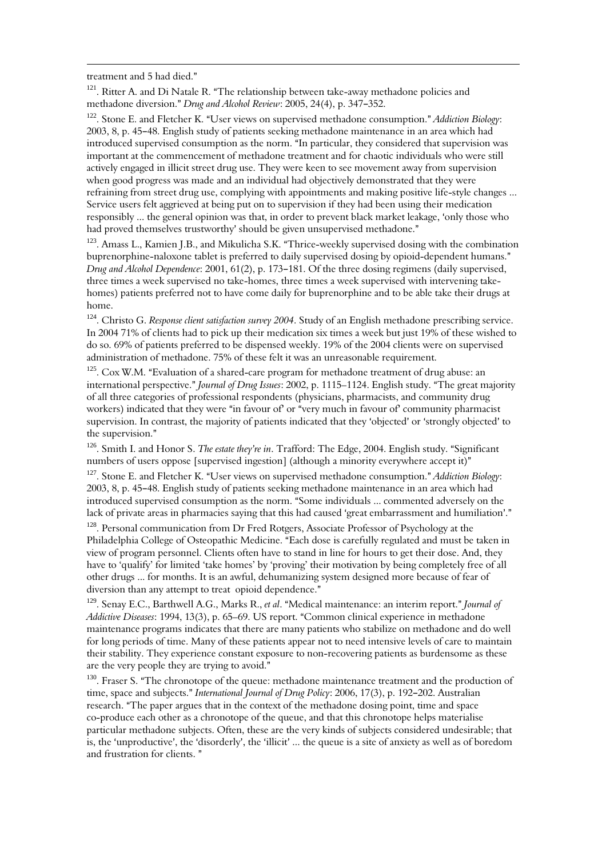treatment and 5 had died."

 $\overline{\phantom{0}}$ 

 $121$ . Ritter A. and Di Natale R. "The relationship between take-away methadone policies and methadone diversion." Drug and Alcohol Review: 2005, 24(4), p. 347-352.

<sup>122</sup>. Stone F. and Fletcher K. "User views on supervised methadone consumption." Addiction Biology: 2003, 8, p. 45–48. English study of patients seeking methadone maintenance in an area which had introduced supervised consumption as the norm. "In particular, they considered that supervision was important at the commencement of methadone treatment and for chaotic individuals who were still actively engaged in illicit street drug use. They were keen to see movement away from supervision when good progress was made and an individual had objectively demonstrated that they were refraining from street drug use, complying with appointments and making positive life-style changes ... Service users felt aggrieved at being put on to supervision if they had been using their medication responsibly ... the general opinion was that, in order to prevent black market leakage, 'only those who had proved themselves trustworthy' should be given unsupervised methadone."

 $123$ . Amass L., Kamien J.B., and Mikulicha S.K. "Thrice-weekly supervised dosing with the combination buprenorphine-naloxone tablet is preferred to daily supervised dosing by opioid-dependent humans."  $Druo$  and Alcohol Dependence: 2001, 61(2), p. 173–181. Of the three dosing regimens (daily supervised, three times a week supervised no take-homes, three times a week supervised with intervening takehomes) patients preferred not to have come daily for buprenorphine and to be able take their drugs at home.

<sup>124</sup>. Christo G. Response client satisfaction survey 2004. Study of an English methadone prescribing service. In 2004 71% of clients had to pick up their medication six times a week but just 19% of these wished to do so. 69% of patients preferred to be dispensed weekly. 19% of the 2004 clients were on supervised administration of methadone. 75% of these felt it was an unreasonable requirement.

 $125$ . Cox W.M. "Evaluation of a shared-care program for methadone treatment of drug abuse: an international perspective." Journal of Drug Issues: 2002, p. 1115–1124. English study. "The great majority of all three categories of professional respondents (physicians, pharmacists, and community drug workers) indicated that they were "in favour of or "very much in favour of community pharmacist supervision. In contrast, the majority of patients indicated that they 'objected' or 'strongly objected' to the supervision."

<sup>126</sup>. Smith I. and Honor S. The estate they're in. Trafford: The Edge, 2004. English study. "Significant numbers of users oppose [supervised ingestion] (although a minority everywhere accept it)"

<sup>127</sup>. Stone E. and Fletcher K. "User views on supervised methadone consumption." Addiction Biology: 2003, 8, p. 45-48. English study of patients seeking methadone maintenance in an area which had introduced supervised consumption as the norm. "Some individuals ... commented adversely on the lack of private areas in pharmacies saying that this had caused 'great embarrassment and humiliation'."

<sup>128</sup>. Personal communication from Dr Fred Rotgers, Associate Professor of Psychology at the Philadelphia College of Osteopathic Medicine. "Each dose is carefully regulated and must be taken in view of program personnel. Clients often have to stand in line for hours to get their dose. And, they have to 'qualify' for limited 'take homes' by 'proving' their motivation by being completely free of all other drugs ... for months. It is an awful, dehumanizing system designed more because of fear of diversion than any attempt to treat opioid dependence."

<sup>129</sup>. Senay E.C., Barthwell A.G., Marks R., et al. "Medical maintenance: an interim report." Journal of Addictive Diseases: 1994, 13(3), p. 65-69. US report. "Common clinical experience in methadone maintenance programs indicates that there are many patients who stabilize on methadone and do well for long periods of time. Many of these patients appear not to need intensive levels of care to maintain their stability. They experience constant exposure to non-recovering patients as burdensome as these are the very people they are trying to avoid."

<sup>130</sup>. Fraser S. "The chronotope of the queue: methadone maintenance treatment and the production of time, space and subjects." International Journal of Drug Policy: 2006, 17(3), p. 192-202. Australian research. "The paper argues that in the context of the methadone dosing point, time and space co-produce each other as a chronotope of the queue, and that this chronotope helps materialise particular methadone subjects. Often, these are the very kinds of subjects considered undesirable; that is, the 'unproductive', the 'disorderly', the 'illicit' ... the queue is a site of anxiety as well as of boredom and frustration for clients."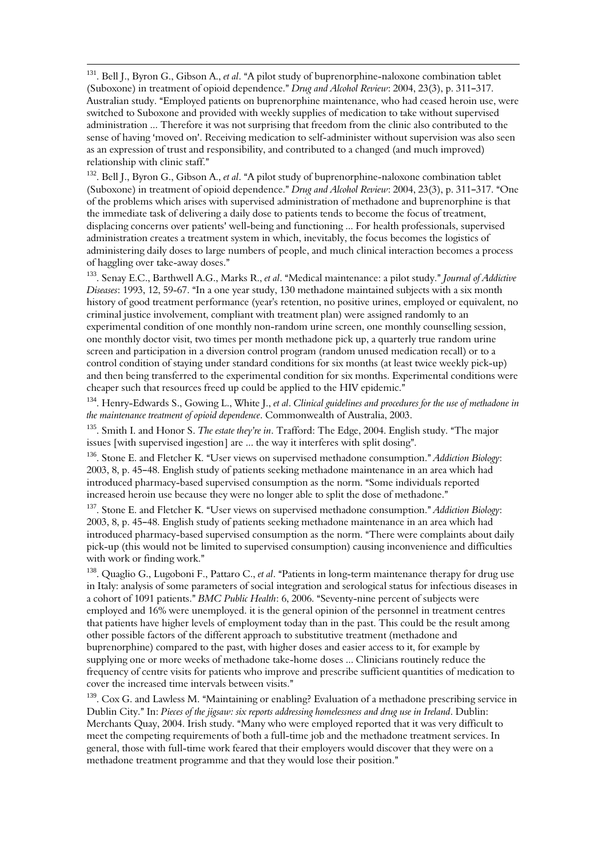<sup>131</sup>. Bell J., Byron G., Gibson A., et al. "A pilot study of buprenorphine-naloxone combination tablet (Suboxone) in treatment of opioid dependence." Drug and Alcohol Review: 2004, 23(3), p. 311-317. Australian study. "Employed patients on buprenorphine maintenance, who had ceased heroin use, were switched to Suboxone and provided with weekly supplies of medication to take without supervised administration ... Therefore it was not surprising that freedom from the clinic also contributed to the sense of having 'moved on'. Receiving medication to self-administer without supervision was also seen as an expression of trust and responsibility, and contributed to a changed (and much improved) relationship with clinic staff."

 $\overline{\phantom{0}}$ 

<sup>132</sup>. Bell J., Byron G., Gibson A., *et al.* "A pilot study of buprenorphine-naloxone combination tablet (Suboxone) in treatment of opioid dependence." Drug and Alcohol Review: 2004, 23(3), p. 311-317. "One of the problems which arises with supervised administration of methadone and buprenorphine is that the immediate task of delivering a daily dose to patients tends to become the focus of treatment, displacing concerns over patients' well-being and functioning ... For health professionals, supervised administration creates a treatment system in which, inevitably, the focus becomes the logistics of administering daily doses to large numbers of people, and much clinical interaction becomes a process of haggling over take-away doses."

<sup>133</sup>. Senav E.C., Barthwell A.G., Marks R., et al. "Medical maintenance: a pilot study." Journal of Addictive Diseases: 1993, 12, 59-67. "In a one year study, 130 methadone maintained subjects with a six month history of good treatment performance (year's retention, no positive urines, employed or equivalent, no criminal justice involvement, compliant with treatment plan) were assigned randomly to an experimental condition of one monthly non-random urine screen, one monthly counselling session, one monthly doctor visit, two times per month methadone pick up, a quarterly true random urine screen and participation in a diversion control program (random unused medication recall) or to a control condition of staying under standard conditions for six months (at least twice weekly pick-up) and then being transferred to the experimental condition for six months. Experimental conditions were cheaper such that resources freed up could be applied to the HIV epidemic."

<sup>134</sup>. Henry-Edwards S., Gowing L., White J., et al. Clinical guidelines and procedures for the use of methadone in the maintenance treatment of opioid dependence. Commonwealth of Australia, 2003.

<sup>135</sup>. Smith I. and Honor S. *The estate they're in*. Trafford: The Edge, 2004. English study. "The major issues [with supervised ingestion] are  $\ldots$  the way it interferes with split dosing".

<sup>136</sup>. Stone E. and Fletcher K. "User views on supervised methadone consumption." Addiction Biology: 2003, 8, p. 45-48. English study of patients seeking methadone maintenance in an area which had introduced pharmacy-based supervised consumption as the norm. "Some individuals reported increased heroin use because they were no longer able to split the dose of methadone."

<sup>137</sup>. Stone E. and Fletcher K. "User views on supervised methadone consumption." Addiction Biology:  $2003$ ,  $8$ , p. 45-48. English study of patients seeking methadone maintenance in an area which had introduced pharmacy-based supervised consumption as the norm. "There were complaints about daily pick-up (this would not be limited to supervised consumption) causing inconvenience and difficulties with work or finding work."

<sup>138</sup>. Quaglio G., Lugoboni F., Pattaro C., et al. "Patients in long-term maintenance therapy for drug use in Italy: analysis of some parameters of social integration and serological status for infectious diseases in a cohort of 1091 patients." BMC Public Health: 6, 2006. "Seventy-nine percent of subjects were employed and 16% were unemployed. it is the general opinion of the personnel in treatment centres that patients have higher levels of employment today than in the past. This could be the result among other possible factors of the different approach to substitutive treatment (methadone and buprenorphine) compared to the past, with higher doses and easier access to it, for example by supplying one or more weeks of methadone take-home doses ... Clinicians routinely reduce the frequency of centre visits for patients who improve and prescribe sufficient quantities of medication to cover the increased time intervals between visits."

 $139$ . Cox G. and Lawless M. "Maintaining or enabling? Evaluation of a methadone prescribing service in Dublin City." In: Pieces of the jigsaw: six reports addressing homelessness and drug use in Ireland. Dublin: Merchants Quay, 2004. Irish study. "Many who were employed reported that it was very difficult to meet the competing requirements of both a full-time job and the methadone treatment services. In general, those with full-time work feared that their employers would discover that they were on a methadone treatment programme and that they would lose their position."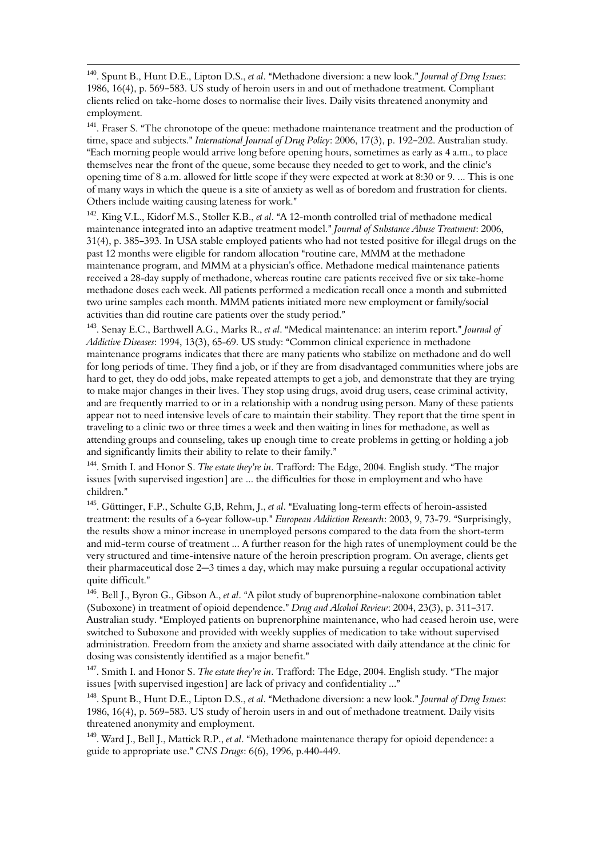$140$ . Spunt B., Hunt D.E., Lipton D.S., et al. "Methadone diversion: a new look." Journal of Drug Issues: 1986, 16(4), p. 569–583. US study of heroin users in and out of methadone treatment. Compliant clients relied on take-home doses to normalise their lives. Daily visits threatened anonymity and employment.

 $\overline{\phantom{0}}$ 

<sup>141</sup>. Fraser S. "The chronotope of the queue: methadone maintenance treatment and the production of time, space and subjects." International Journal of Drug Policy: 2006, 17(3), p. 192-202. Australian study. AEach morning people would arrive long before opening hours, sometimes as early as 4 a.m., to place themselves near the front of the queue, some because they needed to get to work, and the clinic's opening time of 8 a.m. allowed for little scope if they were expected at work at 8:30 or 9. ... This is one of many ways in which the queue is a site of anxiety as well as of boredom and frustration for clients. Others include waiting causing lateness for work."

<sup>142</sup>. King V.L., Kidorf M.S., Stoller K.B., et al. "A 12-month controlled trial of methadone medical maintenance integrated into an adaptive treatment model." Journal of Substance Abuse Treatment: 2006,  $31(4)$ , p.  $385-393$ . In USA stable employed patients who had not tested positive for illegal drugs on the past  $12$  months were eligible for random allocation "routine care, MMM at the methadone maintenance program, and MMM at a physician's office. Methadone medical maintenance patients received a 28-day supply of methadone, whereas routine care patients received five or six take-home methadone doses each week. All patients performed a medication recall once a month and submitted two urine samples each month. MMM patients initiated more new employment or family/social activities than did routine care patients over the study period."

<sup>143</sup>. Senay E.C., Barthwell A.G., Marks R., et al. "Medical maintenance: an interim report." Journal of Addictive Diseases: 1994, 13(3), 65-69. US study: "Common clinical experience in methadone maintenance programs indicates that there are many patients who stabilize on methadone and do well for long periods of time. They find a job, or if they are from disadvantaged communities where jobs are hard to get, they do odd jobs, make repeated attempts to get a job, and demonstrate that they are trying to make major changes in their lives. They stop using drugs, avoid drug users, cease criminal activity, and are frequently married to or in a relationship with a nondrug using person. Many of these patients appear not to need intensive levels of care to maintain their stability. They report that the time spent in traveling to a clinic two or three times a week and then waiting in lines for methadone, as well as attending groups and counseling, takes up enough time to create problems in getting or holding a job and significantly limits their ability to relate to their family."

<sup>144</sup>. Smith I. and Honor S. The estate they're in. Trafford: The Edge, 2004. English study. "The major issues [with supervised ingestion] are ... the difficulties for those in employment and who have children."

<sup>145</sup>. Güttinger, F.P., Schulte G,B, Rehm, J., et al. "Evaluating long-term effects of heroin-assisted treatment: the results of a 6-year follow-up." European Addiction Research: 2003, 9, 73-79. "Surprisingly, the results show a minor increase in unemployed persons compared to the data from the short-term and mid-term course of treatment ... A further reason for the high rates of unemployment could be the very structured and time-intensive nature of the heroin prescription program. On average, clients get their pharmaceutical dose  $2-3$  times a day, which may make pursuing a regular occupational activity quite difficult."

<sup>146</sup>. Bell J., Byron G., Gibson A., et al. "A pilot study of buprenorphine-naloxone combination tablet (Suboxone) in treatment of opioid dependence." Drug and Alcohol Review: 2004, 23(3), p. 311-317. Australian study. "Employed patients on buprenorphine maintenance, who had ceased heroin use, were switched to Suboxone and provided with weekly supplies of medication to take without supervised administration. Freedom from the anxiety and shame associated with daily attendance at the clinic for dosing was consistently identified as a major benefit."

<sup>147</sup>. Smith I. and Honor S. The estate they're in. Trafford: The Edge, 2004. English study. "The major issues [with supervised ingestion] are lack of privacy and confidentiality ..."

<sup>148</sup>. Spunt B., Hunt D.E., Lipton D.S., et al. "Methadone diversion: a new look." Journal of Drug Issues: 1986, 16(4), p. 569–583. US study of heroin users in and out of methadone treatment. Daily visits threatened anonymity and employment.

 $149$ . Ward J., Bell J., Mattick R.P., et al. "Methadone maintenance therapy for opioid dependence: a guide to appropriate use." CNS Drugs: 6(6), 1996, p.440-449.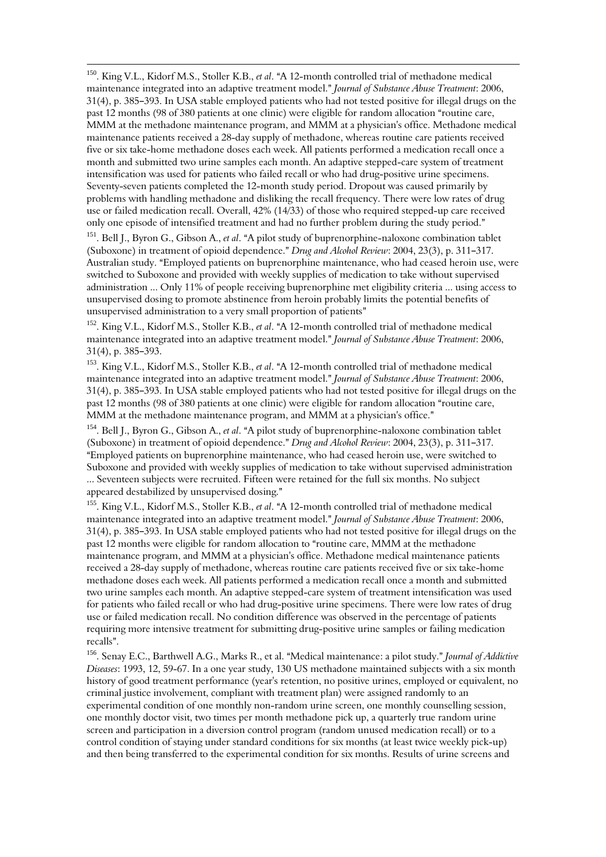<sup>150</sup>. King V.L., Kidorf M.S., Stoller K.B., et al. "A 12-month controlled trial of methadone medical maintenance integrated into an adaptive treatment model." Journal of Substance Abuse Treatment: 2006,  $31(4)$ , p.  $385-393$ . In USA stable employed patients who had not tested positive for illegal drugs on the past 12 months (98 of 380 patients at one clinic) were eligible for random allocation "routine care, MMM at the methadone maintenance program, and MMM at a physician's office. Methadone medical maintenance patients received a 28-day supply of methadone, whereas routine care patients received five or six take-home methadone doses each week. All patients performed a medication recall once a month and submitted two urine samples each month. An adaptive stepped-care system of treatment intensification was used for patients who failed recall or who had drug-positive urine specimens. Seventy-seven patients completed the 12-month study period. Dropout was caused primarily by problems with handling methadone and disliking the recall frequency. There were low rates of drug use or failed medication recall. Overall, 42% (14/33) of those who required stepped-up care received only one episode of intensified treatment and had no further problem during the study period."

 $\overline{\phantom{0}}$ 

<sup>151</sup>. Bell J., Byron G., Gibson A., et al. "A pilot study of buprenorphine-naloxone combination tablet (Suboxone) in treatment of opioid dependence." Drug and Alcohol Review: 2004, 23(3), p. 311-317. Australian study. "Employed patients on buprenorphine maintenance, who had ceased heroin use, were switched to Suboxone and provided with weekly supplies of medication to take without supervised administration ... Only 11% of people receiving buprenorphine met eligibility criteria ... using access to unsupervised dosing to promote abstinence from heroin probably limits the potential benefits of unsupervised administration to a very small proportion of patients"

<sup>152</sup>. King V.L., Kidorf M.S., Stoller K.B., et al. "A 12-month controlled trial of methadone medical maintenance integrated into an adaptive treatment model." Journal of Substance Abuse Treatment: 2006,  $31(4)$ , p. 385-393.

<sup>153</sup>. King V.L., Kidorf M.S., Stoller K.B., et al. "A 12-month controlled trial of methadone medical maintenance integrated into an adaptive treatment model." Journal of Substance Abuse Treatment: 2006,  $31(4)$ , p. 385-393. In USA stable employed patients who had not tested positive for illegal drugs on the past 12 months (98 of 380 patients at one clinic) were eligible for random allocation "routine care, MMM at the methadone maintenance program, and MMM at a physician's office."

<sup>154</sup>. Bell J., Byron G., Gibson A., *et al.* "A pilot study of buprenorphine-naloxone combination tablet (Suboxone) in treatment of opioid dependence." Drug and Alcohol Review: 2004, 23(3), p. 311–317. AEmployed patients on buprenorphine maintenance, who had ceased heroin use, were switched to Suboxone and provided with weekly supplies of medication to take without supervised administration ... Seventeen subjects were recruited. Fifteen were retained for the full six months. No subject appeared destabilized by unsupervised dosing."

<sup>155</sup>. King V.L., Kidorf M.S., Stoller K.B., et al. "A 12-month controlled trial of methadone medical maintenance integrated into an adaptive treatment model." Journal of Substance Abuse Treatment: 2006,  $31(4)$ , p.  $385-393$ . In USA stable employed patients who had not tested positive for illegal drugs on the past 12 months were eligible for random allocation to "routine care, MMM at the methadone maintenance program, and MMM at a physician's office. Methadone medical maintenance patients received a 28-day supply of methadone, whereas routine care patients received five or six take-home methadone doses each week. All patients performed a medication recall once a month and submitted two urine samples each month. An adaptive stepped-care system of treatment intensification was used for patients who failed recall or who had drug-positive urine specimens. There were low rates of drug use or failed medication recall. No condition difference was observed in the percentage of patients requiring more intensive treatment for submitting drug-positive urine samples or failing medication recalls".

<sup>156</sup>. Senay E.C., Barthwell A.G., Marks R., et al. "Medical maintenance: a pilot study." Journal of Addictive Diseases: 1993, 12, 59-67. In a one year study, 130 US methadone maintained subjects with a six month history of good treatment performance (year's retention, no positive urines, employed or equivalent, no criminal justice involvement, compliant with treatment plan) were assigned randomly to an experimental condition of one monthly non-random urine screen, one monthly counselling session, one monthly doctor visit, two times per month methadone pick up, a quarterly true random urine screen and participation in a diversion control program (random unused medication recall) or to a control condition of staying under standard conditions for six months (at least twice weekly pick-up) and then being transferred to the experimental condition for six months. Results of urine screens and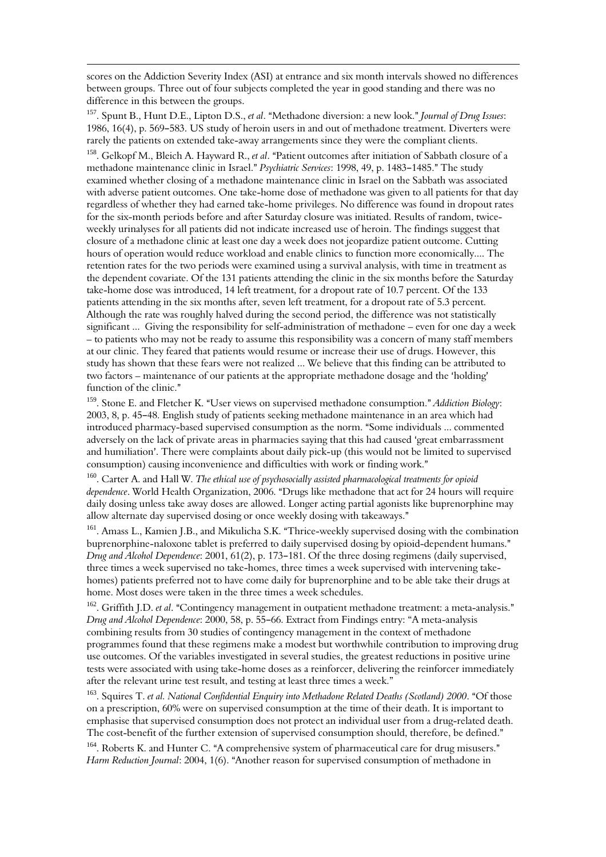scores on the Addiction Severity Index (ASI) at entrance and six month intervals showed no differences between groups. Three out of four subjects completed the year in good standing and there was no difference in this between the groups.

 $\overline{\phantom{0}}$ 

<sup>157</sup>. Spunt B., Hunt D.E., Lipton D.S., et al. "Methadone diversion: a new look." Journal of Drug Issues: 1986, 16(4), p. 569-583. US study of heroin users in and out of methadone treatment. Diverters were rarely the patients on extended take-away arrangements since they were the compliant clients.

<sup>158</sup>. Gelkopf M., Bleich A. Hayward R., et al. "Patient outcomes after initiation of Sabbath closure of a methadone maintenance clinic in Israel." Psychiatric Services: 1998, 49, p. 1483-1485." The study examined whether closing of a methadone maintenance clinic in Israel on the Sabbath was associated with adverse patient outcomes. One take-home dose of methadone was given to all patients for that day regardless of whether they had earned take-home privileges. No difference was found in dropout rates for the six-month periods before and after Saturday closure was initiated. Results of random, twiceweekly urinalyses for all patients did not indicate increased use of heroin. The findings suggest that closure of a methadone clinic at least one day a week does not jeopardize patient outcome. Cutting hours of operation would reduce workload and enable clinics to function more economically.... The retention rates for the two periods were examined using a survival analysis, with time in treatment as the dependent covariate. Of the 131 patients attending the clinic in the six months before the Saturday take-home dose was introduced, 14 left treatment, for a dropout rate of 10.7 percent. Of the 133 patients attending in the six months after, seven left treatment, for a dropout rate of 5.3 percent. Although the rate was roughly halved during the second period, the difference was not statistically significant ... Giving the responsibility for self-administration of methadone – even for one day a week – to patients who may not be ready to assume this responsibility was a concern of many staff members at our clinic. They feared that patients would resume or increase their use of drugs. However, this study has shown that these fears were not realized ... We believe that this finding can be attributed to two factors – maintenance of our patients at the appropriate methadone dosage and the 'holding' function of the clinic."

<sup>159</sup>. Stone E. and Fletcher K. "User views on supervised methadone consumption." Addiction Biology:  $2003$ ,  $8$ , p. 45–48. English study of patients seeking methadone maintenance in an area which had introduced pharmacy-based supervised consumption as the norm. "Some individuals ... commented adversely on the lack of private areas in pharmacies saying that this had caused 'great embarrassment and humiliation'. There were complaints about daily pick-up (this would not be limited to supervised consumption) causing inconvenience and difficulties with work or finding work."

<sup>160</sup>. Carter A. and Hall W. The ethical use of psychosocially assisted pharmacological treatments for opioid dependence. World Health Organization, 2006. "Drugs like methadone that act for 24 hours will require daily dosing unless take away doses are allowed. Longer acting partial agonists like buprenorphine may allow alternate day supervised dosing or once weekly dosing with takeaways."

<sup>161</sup>. Amass L., Kamien J.B., and Mikulicha S.K. "Thrice-weekly supervised dosing with the combination buprenorphine-naloxone tablet is preferred to daily supervised dosing by opioid-dependent humans." Drug and Alcohol Dependence: 2001, 61(2), p. 173-181. Of the three dosing regimens (daily supervised, three times a week supervised no take-homes, three times a week supervised with intervening takehomes) patients preferred not to have come daily for buprenorphine and to be able take their drugs at home. Most doses were taken in the three times a week schedules.

<sup>162</sup>. Griffith J.D. et al. "Contingency management in outpatient methadone treatment: a meta-analysis." Drug and Alcohol Dependence: 2000, 58, p. 55-66. Extract from Findings entry: "A meta-analysis combining results from 30 studies of contingency management in the context of methadone programmes found that these regimens make a modest but worthwhile contribution to improving drug use outcomes. Of the variables investigated in several studies, the greatest reductions in positive urine tests were associated with using take-home doses as a reinforcer, delivering the reinforcer immediately after the relevant urine test result, and testing at least three times a week."

 $163.$  Squires T. et al. National Confidential Enquiry into Methadone Related Deaths (Scotland) 2000. "Of those on a prescription, 60% were on supervised consumption at the time of their death. It is important to emphasise that supervised consumption does not protect an individual user from a drug-related death. The cost-benefit of the further extension of supervised consumption should, therefore, be defined."

 $164$ . Roberts K. and Hunter C. "A comprehensive system of pharmaceutical care for drug misusers." Harm Reduction Journal: 2004, 1(6). "Another reason for supervised consumption of methadone in